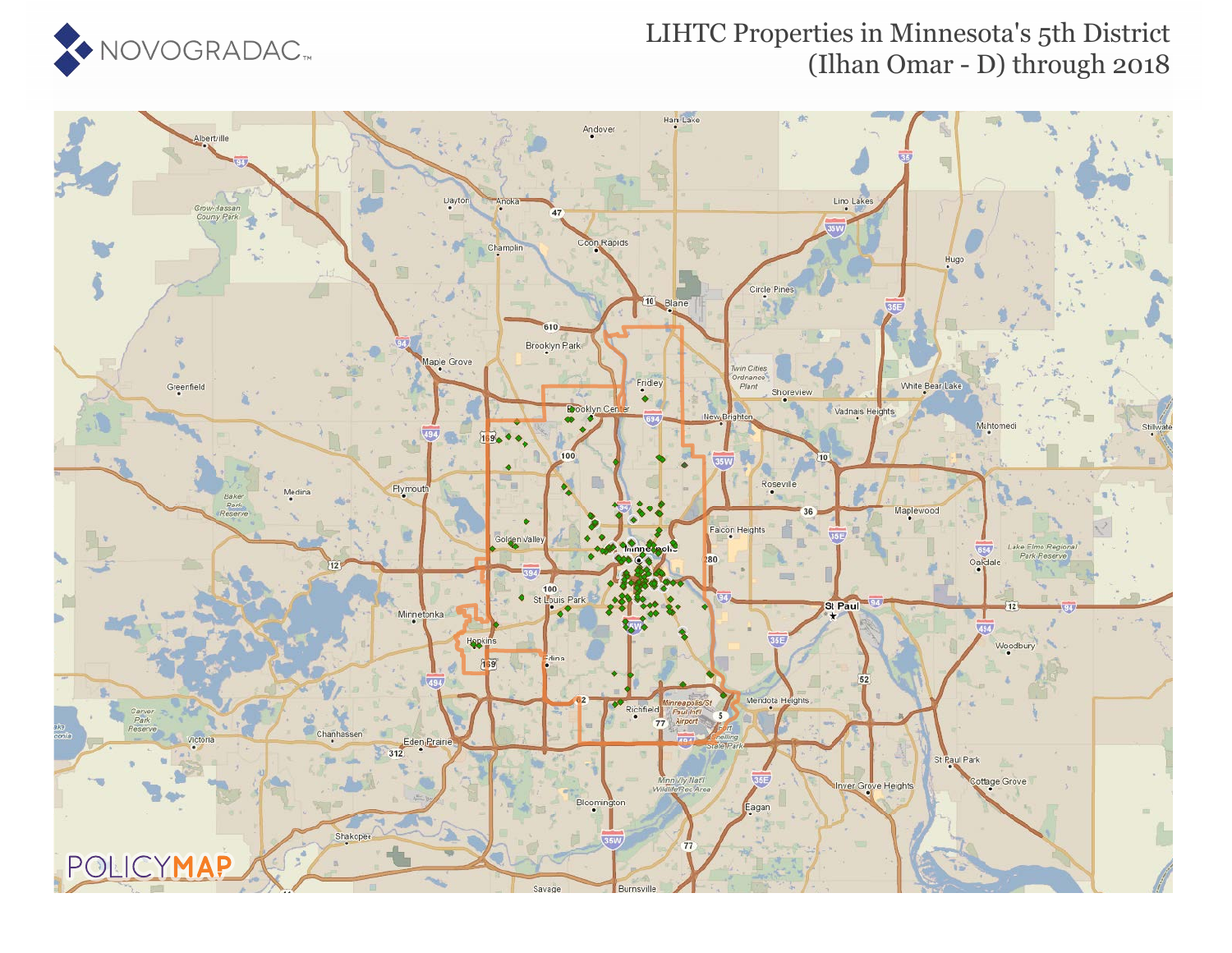

### LIHTC Properties in Minnesota's 5th District (Ilhan Omar - D) through 2018

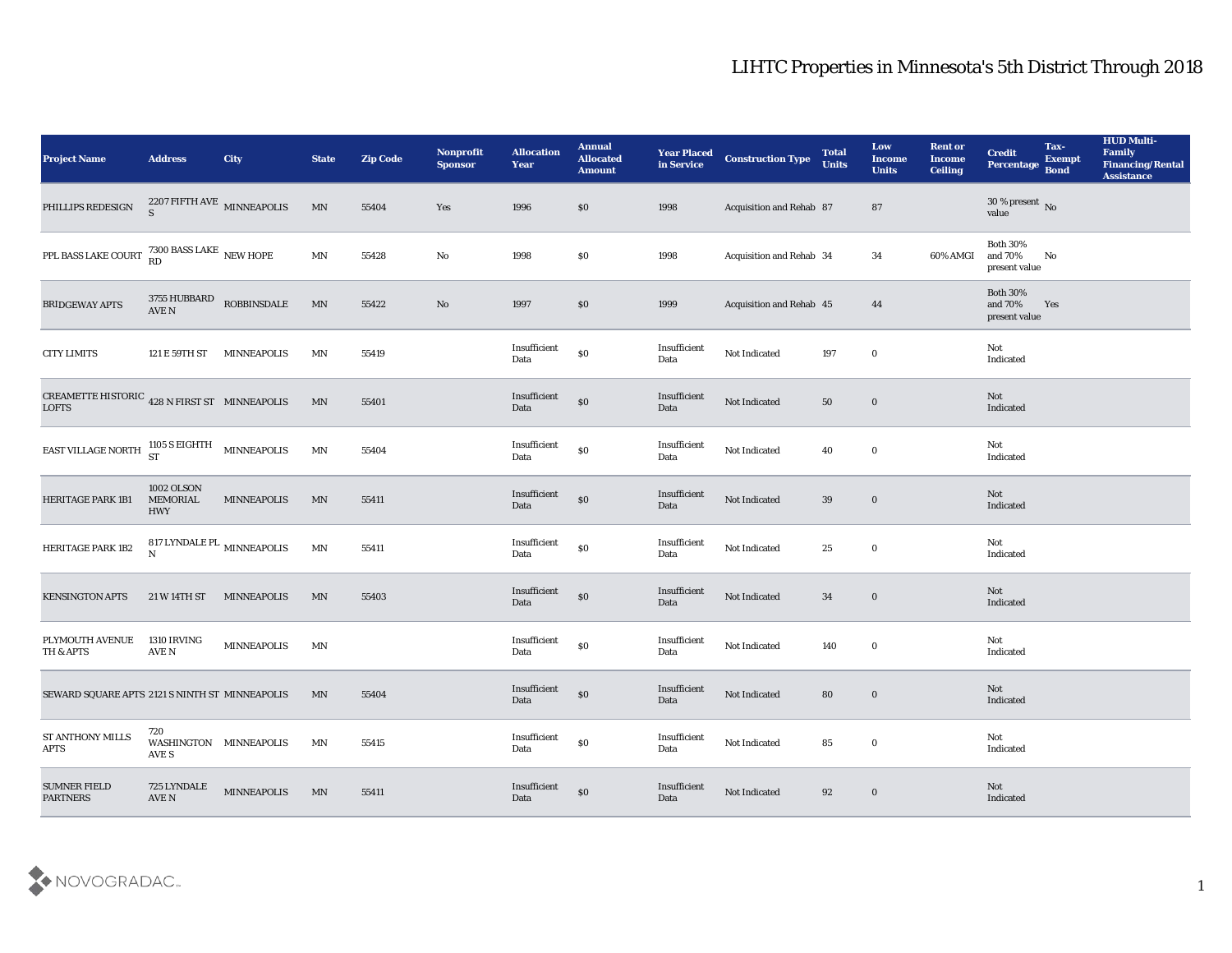| <b>Project Name</b>                                                                                                        | <b>Address</b>                              | City               | <b>State</b>               | <b>Zip Code</b> | Nonprofit<br><b>Sponsor</b> | <b>Allocation</b><br>Year | <b>Annual</b><br><b>Allocated</b><br><b>Amount</b> | <b>Year Placed</b><br>in Service | <b>Construction Type</b> | <b>Total</b><br><b>Units</b> | Low<br><b>Income</b><br><b>Units</b> | <b>Rent or</b><br><b>Income</b><br><b>Ceiling</b> | <b>Credit</b><br>Percentage                    | Tax-<br><b>Exempt</b><br><b>Bond</b> | <b>HUD Multi-</b><br>Family<br><b>Financing/Rental</b><br><b>Assistance</b> |
|----------------------------------------------------------------------------------------------------------------------------|---------------------------------------------|--------------------|----------------------------|-----------------|-----------------------------|---------------------------|----------------------------------------------------|----------------------------------|--------------------------|------------------------------|--------------------------------------|---------------------------------------------------|------------------------------------------------|--------------------------------------|-----------------------------------------------------------------------------|
| PHILLIPS REDESIGN                                                                                                          | $2207$ FIFTH AVE $\,$ MINNEAPOLIS $\,$ S    |                    | $\mathop{\rm MN}\nolimits$ | 55404           | Yes                         | 1996                      | \$0                                                | 1998                             | Acquisition and Rehab 87 |                              | 87                                   |                                                   | $30\,\%$ present $\,$ No value                 |                                      |                                                                             |
| PPL BASS LAKE COURT 7300 BASS LAKE NEW HOPE                                                                                |                                             |                    | $\ensuremath{\text{MN}}$   | 55428           | No                          | 1998                      | \$0                                                | 1998                             | Acquisition and Rehab 34 |                              | 34                                   | 60% AMGI                                          | <b>Both 30%</b><br>and 70%<br>present value    | No                                   |                                                                             |
| <b>BRIDGEWAY APTS</b>                                                                                                      | $3755\ \mathrm{HUBBARD}$ ROBBINSDALE AVE N  |                    | MN                         | 55422           | $\rm\thinspace No$          | 1997                      | \$0                                                | 1999                             | Acquisition and Rehab 45 |                              | 44                                   |                                                   | <b>Both 30%</b><br>and $70\%$<br>present value | Yes                                  |                                                                             |
| <b>CITY LIMITS</b>                                                                                                         | 121 E 59TH ST                               | <b>MINNEAPOLIS</b> | <b>MN</b>                  | 55419           |                             | Insufficient<br>Data      | $\$0$                                              | Insufficient<br>Data             | Not Indicated            | 197                          | $\bf{0}$                             |                                                   | Not<br>Indicated                               |                                      |                                                                             |
| CREAMETTE HISTORIC $\,$ 428 N FIRST ST $\,$ MINNEAPOLIS LOFTS                                                              |                                             |                    | MN                         | 55401           |                             | Insufficient<br>Data      | $\$0$                                              | Insufficient<br>Data             | Not Indicated            | 50                           | $\bf{0}$                             |                                                   | Not<br>Indicated                               |                                      |                                                                             |
| <b>EAST VILLAGE NORTH <math>\begin{array}{c} 1105 \text{ S} \text{ EIGHTH} \\ \text{ST} \end{array}</math> MINNEAPOLIS</b> |                                             |                    | MN                         | 55404           |                             | Insufficient<br>Data      | $\$0$                                              | Insufficient<br>Data             | Not Indicated            | 40                           | $\bf{0}$                             |                                                   | Not<br>Indicated                               |                                      |                                                                             |
| <b>HERITAGE PARK 1B1</b>                                                                                                   | <b>1002 OLSON</b><br>MEMORIAL<br><b>HWY</b> | <b>MINNEAPOLIS</b> | MN                         | 55411           |                             | Insufficient<br>Data      | $\$0$                                              | Insufficient<br>Data             | Not Indicated            | 39                           | $\bf{0}$                             |                                                   | Not<br>Indicated                               |                                      |                                                                             |
| HERITAGE PARK 1B2                                                                                                          | 817 LYNDALE PL $_{\rm MINNEAPOLIS}$         |                    | <b>MN</b>                  | 55411           |                             | Insufficient<br>Data      | $\$0$                                              | Insufficient<br>Data             | Not Indicated            | 25                           | $\bf{0}$                             |                                                   | Not<br>Indicated                               |                                      |                                                                             |
| <b>KENSINGTON APTS</b>                                                                                                     | 21 W 14TH ST                                | MINNEAPOLIS        | MN                         | 55403           |                             | Insufficient<br>Data      | $\$0$                                              | Insufficient<br>Data             | Not Indicated            | 34                           | $\bf{0}$                             |                                                   | Not<br>Indicated                               |                                      |                                                                             |
| PLYMOUTH AVENUE<br>TH & APTS                                                                                               | 1310 IRVING<br>AVE N                        | <b>MINNEAPOLIS</b> | MN                         |                 |                             | Insufficient<br>Data      | $\$0$                                              | Insufficient<br>Data             | Not Indicated            | 140                          | $\bf{0}$                             |                                                   | Not<br>Indicated                               |                                      |                                                                             |
| SEWARD SQUARE APTS 2121 S NINTH ST MINNEAPOLIS                                                                             |                                             |                    | MN                         | 55404           |                             | Insufficient<br>Data      | $\$0$                                              | Insufficient<br>Data             | Not Indicated            | 80                           | $\bf{0}$                             |                                                   | Not<br>Indicated                               |                                      |                                                                             |
| <b>ST ANTHONY MILLS</b><br>APTS                                                                                            | 720<br>WASHINGTON MINNEAPOLIS<br>AVE S      |                    | $\ensuremath{\text{MN}}$   | 55415           |                             | Insufficient<br>Data      | $\$0$                                              | Insufficient<br>Data             | Not Indicated            | 85                           | $\bf{0}$                             |                                                   | Not<br>Indicated                               |                                      |                                                                             |
| <b>SUMNER FIELD</b><br><b>PARTNERS</b>                                                                                     | 725 LYNDALE<br>$\operatorname{AVE}$ N       | <b>MINNEAPOLIS</b> | MN                         | 55411           |                             | Insufficient<br>Data      | $\$0$                                              | Insufficient<br>Data             | Not Indicated            | 92                           | $\bf{0}$                             |                                                   | <b>Not</b><br>Indicated                        |                                      |                                                                             |

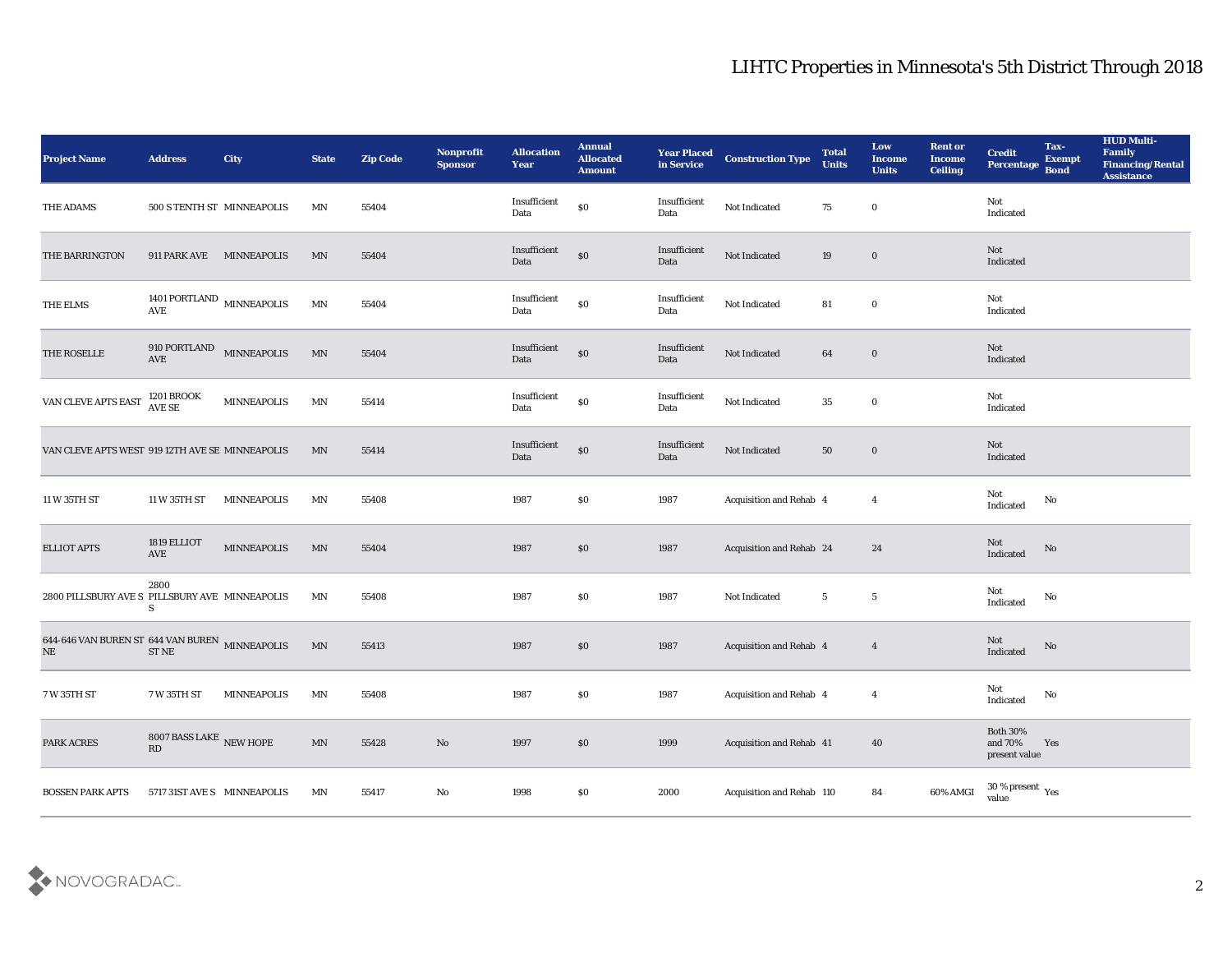| <b>Project Name</b>                                         | <b>Address</b>                               | <b>City</b>        | <b>State</b>             | <b>Zip Code</b> | Nonprofit<br><b>Sponsor</b> | <b>Allocation</b><br>Year | <b>Annual</b><br><b>Allocated</b><br><b>Amount</b> | <b>Year Placed</b><br>in Service | <b>Construction Type</b>  | <b>Total</b><br><b>Units</b> | Low<br><b>Income</b><br><b>Units</b> | <b>Rent or</b><br><b>Income</b><br><b>Ceiling</b> | <b>Credit</b><br>Percentage                          | Tax-<br><b>Exempt</b><br><b>Bond</b> | <b>HUD Multi-</b><br>Family<br><b>Financing/Rental</b><br><b>Assistance</b> |
|-------------------------------------------------------------|----------------------------------------------|--------------------|--------------------------|-----------------|-----------------------------|---------------------------|----------------------------------------------------|----------------------------------|---------------------------|------------------------------|--------------------------------------|---------------------------------------------------|------------------------------------------------------|--------------------------------------|-----------------------------------------------------------------------------|
| THE ADAMS                                                   | 500 S TENTH ST MINNEAPOLIS                   |                    | MN                       | 55404           |                             | Insufficient<br>Data      | $\$0$                                              | Insufficient<br>Data             | Not Indicated             | 75                           | $\bf{0}$                             |                                                   | Not<br>Indicated                                     |                                      |                                                                             |
| THE BARRINGTON                                              | 911 PARK AVE                                 | MINNEAPOLIS        | MN                       | 55404           |                             | Insufficient<br>Data      | $\$0$                                              | Insufficient<br>Data             | Not Indicated             | 19                           | $\bf{0}$                             |                                                   | Not<br>Indicated                                     |                                      |                                                                             |
| THE ELMS                                                    | 1401 PORTLAND $\,$ MINNEAPOLIS<br><b>AVE</b> |                    | MN                       | 55404           |                             | Insufficient<br>Data      | $\$0$                                              | Insufficient<br>Data             | Not Indicated             | 81                           | $\bf{0}$                             |                                                   | Not<br>Indicated                                     |                                      |                                                                             |
| THE ROSELLE                                                 | $910$ PORTLAND MINNEAPOLIS $\,$ AVE          |                    | MN                       | 55404           |                             | Insufficient<br>Data      | $\$0$                                              | Insufficient<br>Data             | Not Indicated             | 64                           | $\bf{0}$                             |                                                   | Not<br>Indicated                                     |                                      |                                                                             |
| VAN CLEVE APTS EAST                                         | 1201 BROOK<br>AVE SE                         | MINNEAPOLIS        | MN                       | 55414           |                             | Insufficient<br>Data      | $\$0$                                              | Insufficient<br>Data             | Not Indicated             | 35                           | $\bf{0}$                             |                                                   | Not<br>Indicated                                     |                                      |                                                                             |
| VAN CLEVE APTS WEST 919 12TH AVE SE MINNEAPOLIS             |                                              |                    | MN                       | 55414           |                             | Insufficient<br>Data      | $\$0$                                              | Insufficient<br>Data             | Not Indicated             | 50                           | $\bf{0}$                             |                                                   | Not<br>Indicated                                     |                                      |                                                                             |
| 11 W 35TH ST                                                | 11 W 35TH ST                                 | <b>MINNEAPOLIS</b> | MN                       | 55408           |                             | 1987                      | \$0                                                | 1987                             | Acquisition and Rehab 4   |                              | $\overline{4}$                       |                                                   | Not<br>$\operatorname{Indicated}$                    | No                                   |                                                                             |
| <b>ELLIOT APTS</b>                                          | 1819 ELLIOT<br>AVE                           | <b>MINNEAPOLIS</b> | MN                       | 55404           |                             | 1987                      | \$0                                                | 1987                             | Acquisition and Rehab 24  |                              | 24                                   |                                                   | <b>Not</b><br>Indicated                              | No                                   |                                                                             |
| 2800 PILLSBURY AVE S PILLSBURY AVE MINNEAPOLIS              | 2800<br>S                                    |                    | ΜN                       | 55408           |                             | 1987                      | \$0                                                | 1987                             | Not Indicated             | $5\phantom{.0}$              | $5\phantom{.0}$                      |                                                   | Not<br>$\operatorname{Indicated}$                    | No                                   |                                                                             |
| 644-646 VAN BUREN ST 644 VAN BUREN MINNEAPOLIS<br>$\rm{NE}$ | <b>ST NE</b>                                 |                    | MN                       | 55413           |                             | 1987                      | \$0                                                | 1987                             | Acquisition and Rehab 4   |                              | $\overline{4}$                       |                                                   | Not<br>Indicated                                     | No                                   |                                                                             |
| 7 W 35TH ST                                                 | 7 W 35TH ST                                  | <b>MINNEAPOLIS</b> | ΜN                       | 55408           |                             | 1987                      | \$0                                                | 1987                             | Acquisition and Rehab 4   |                              | $\boldsymbol{4}$                     |                                                   | Not<br>Indicated                                     | No                                   |                                                                             |
| PARK ACRES                                                  | 8007 BASS LAKE $$\rm{NEW}\rm{~HOPE}$$ RD     |                    | $\ensuremath{\text{MN}}$ | 55428           | $\rm\thinspace No$          | 1997                      | $\$0$                                              | 1999                             | Acquisition and Rehab 41  |                              | 40                                   |                                                   | Both $30\%$<br>and $70\%$<br>present value           | Yes                                  |                                                                             |
| <b>BOSSEN PARK APTS</b>                                     | 5717 31ST AVE S MINNEAPOLIS                  |                    | MN                       | 55417           | $\rm\, No$                  | 1998                      | $\$0$                                              | 2000                             | Acquisition and Rehab 110 |                              | ${\bf 84}$                           | 60% AMGI                                          | 30 % present $\rm\thinspace\gamma_{\rm es}$<br>value |                                      |                                                                             |

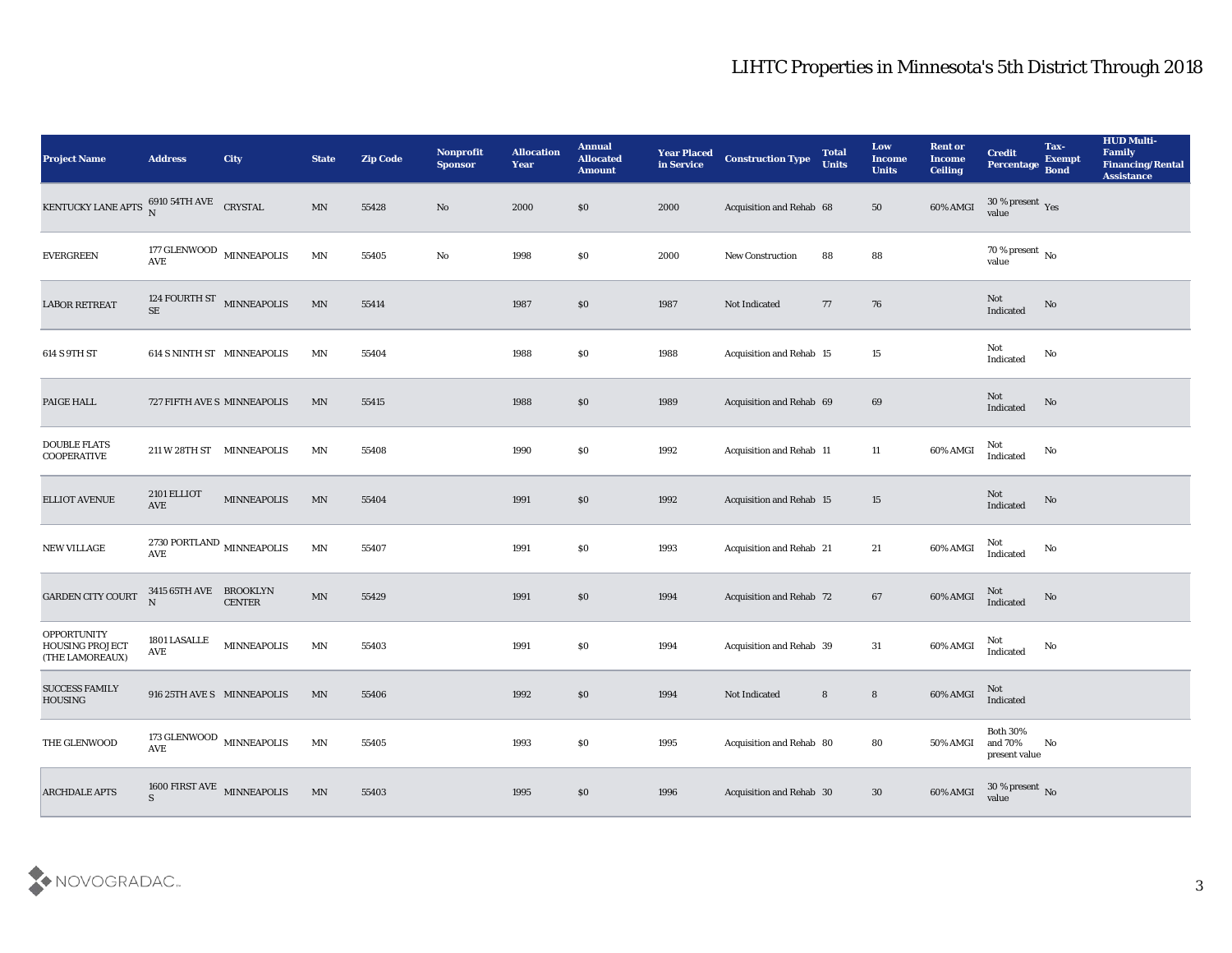| <b>Project Name</b>                                      | <b>Address</b>                                 | City               | <b>State</b>               | <b>Zip Code</b> | Nonprofit<br><b>Sponsor</b> | <b>Allocation</b><br><b>Year</b> | <b>Annual</b><br><b>Allocated</b><br><b>Amount</b> | <b>Year Placed</b><br>in Service | <b>Construction Type</b> | <b>Total</b><br><b>Units</b> | Low<br><b>Income</b><br><b>Units</b> | <b>Rent or</b><br><b>Income</b><br><b>Ceiling</b> | <b>Credit</b><br>Percentage                | Tax-<br><b>Exempt</b><br><b>Bond</b> | <b>HUD Multi-</b><br>Family<br><b>Financing/Rental</b><br><b>Assistance</b> |
|----------------------------------------------------------|------------------------------------------------|--------------------|----------------------------|-----------------|-----------------------------|----------------------------------|----------------------------------------------------|----------------------------------|--------------------------|------------------------------|--------------------------------------|---------------------------------------------------|--------------------------------------------|--------------------------------------|-----------------------------------------------------------------------------|
| KENTUCKY LANE APTS $\frac{6910}{N}$ 54TH AVE CRYSTAL     |                                                |                    | MN                         | 55428           | No                          | 2000                             | \$0                                                | 2000                             | Acquisition and Rehab 68 |                              | 50                                   | 60% AMGI                                          | $30\,\%$ present $\,$ Yes value            |                                      |                                                                             |
| <b>EVERGREEN</b>                                         | $177\,\mbox{GLENWOOD}$ MINNEAPOLIS AVE         |                    | $\mathop{\rm MN}\nolimits$ | 55405           | No                          | 1998                             | \$0                                                | 2000                             | <b>New Construction</b>  | 88                           | 88                                   |                                                   | $70\,\%$ present $\,$ No value             |                                      |                                                                             |
| <b>LABOR RETREAT</b>                                     | 124 FOURTH ST $$\tt MINNEAPOLIS$$<br><b>SE</b> |                    | $\text{MN}$                | 55414           |                             | 1987                             | \$0                                                | 1987                             | Not Indicated            | 77                           | 76                                   |                                                   | <b>Not</b><br>Indicated                    | No                                   |                                                                             |
| 614 S 9TH ST                                             | 614 S NINTH ST MINNEAPOLIS                     |                    | MN                         | 55404           |                             | 1988                             | \$0                                                | 1988                             | Acquisition and Rehab 15 |                              | 15                                   |                                                   | Not<br>Indicated                           | No                                   |                                                                             |
| PAIGE HALL                                               | 727 FIFTH AVE S MINNEAPOLIS                    |                    | MN                         | 55415           |                             | 1988                             | \$0                                                | 1989                             | Acquisition and Rehab 69 |                              | 69                                   |                                                   | Not<br>Indicated                           | No                                   |                                                                             |
| <b>DOUBLE FLATS</b><br><b>COOPERATIVE</b>                | 211 W 28TH ST MINNEAPOLIS                      |                    | MN                         | 55408           |                             | 1990                             | \$0                                                | 1992                             | Acquisition and Rehab 11 |                              | 11                                   | $60\%$ AMGI                                       | Not<br>Indicated                           | No                                   |                                                                             |
| <b>ELLIOT AVENUE</b>                                     | 2101 ELLIOT<br>$\operatorname{AVE}$            | <b>MINNEAPOLIS</b> | $\text{MN}$                | 55404           |                             | 1991                             | \$0                                                | 1992                             | Acquisition and Rehab 15 |                              | 15                                   |                                                   | Not<br>Indicated                           | No                                   |                                                                             |
| NEW VILLAGE                                              | 2730 PORTLAND $\,$ MINNEAPOLIS<br><b>AVE</b>   |                    | MN                         | 55407           |                             | 1991                             | \$0                                                | 1993                             | Acquisition and Rehab 21 |                              | 21                                   | 60% AMGI                                          | Not<br>Indicated                           | No                                   |                                                                             |
| GARDEN CITY COURT                                        | 3415 65TH AVE BROOKLYN<br>N                    | <b>CENTER</b>      | $\mathop{\rm MN}\nolimits$ | 55429           |                             | 1991                             | \$0                                                | 1994                             | Acquisition and Rehab 72 |                              | 67                                   | 60% AMGI                                          | Not<br>Indicated                           | No                                   |                                                                             |
| <b>OPPORTUNITY</b><br>HOUSING PROJECT<br>(THE LAMOREAUX) | 1801 LASALLE<br>AVE                            | <b>MINNEAPOLIS</b> | MN                         | 55403           |                             | 1991                             | \$0                                                | 1994                             | Acquisition and Rehab 39 |                              | 31                                   | 60% AMGI                                          | Not<br>Indicated                           | No                                   |                                                                             |
| <b>SUCCESS FAMILY</b><br>HOUSING                         | 916 25TH AVE S MINNEAPOLIS                     |                    | MN                         | 55406           |                             | 1992                             | \$0                                                | 1994                             | Not Indicated            | 8                            | ${\bf 8}$                            | 60% AMGI                                          | Not<br>Indicated                           |                                      |                                                                             |
| THE GLENWOOD                                             | 173 GLENWOOD MINNEAPOLIS<br>AVE                |                    | MN                         | $55405\,$       |                             | 1993                             | $\$0$                                              | 1995                             | Acquisition and Rehab 80 |                              | 80                                   | 50% AMGI                                          | Both $30\%$<br>and $70\%$<br>present value | No                                   |                                                                             |
| <b>ARCHDALE APTS</b>                                     | 1600 FIRST AVE MINNEAPOLIS                     |                    | MN                         | 55403           |                             | 1995                             | \$0                                                | 1996                             | Acquisition and Rehab 30 |                              | 30                                   | 60% AMGI                                          | $30\,\%$ present $\,$ No value             |                                      |                                                                             |

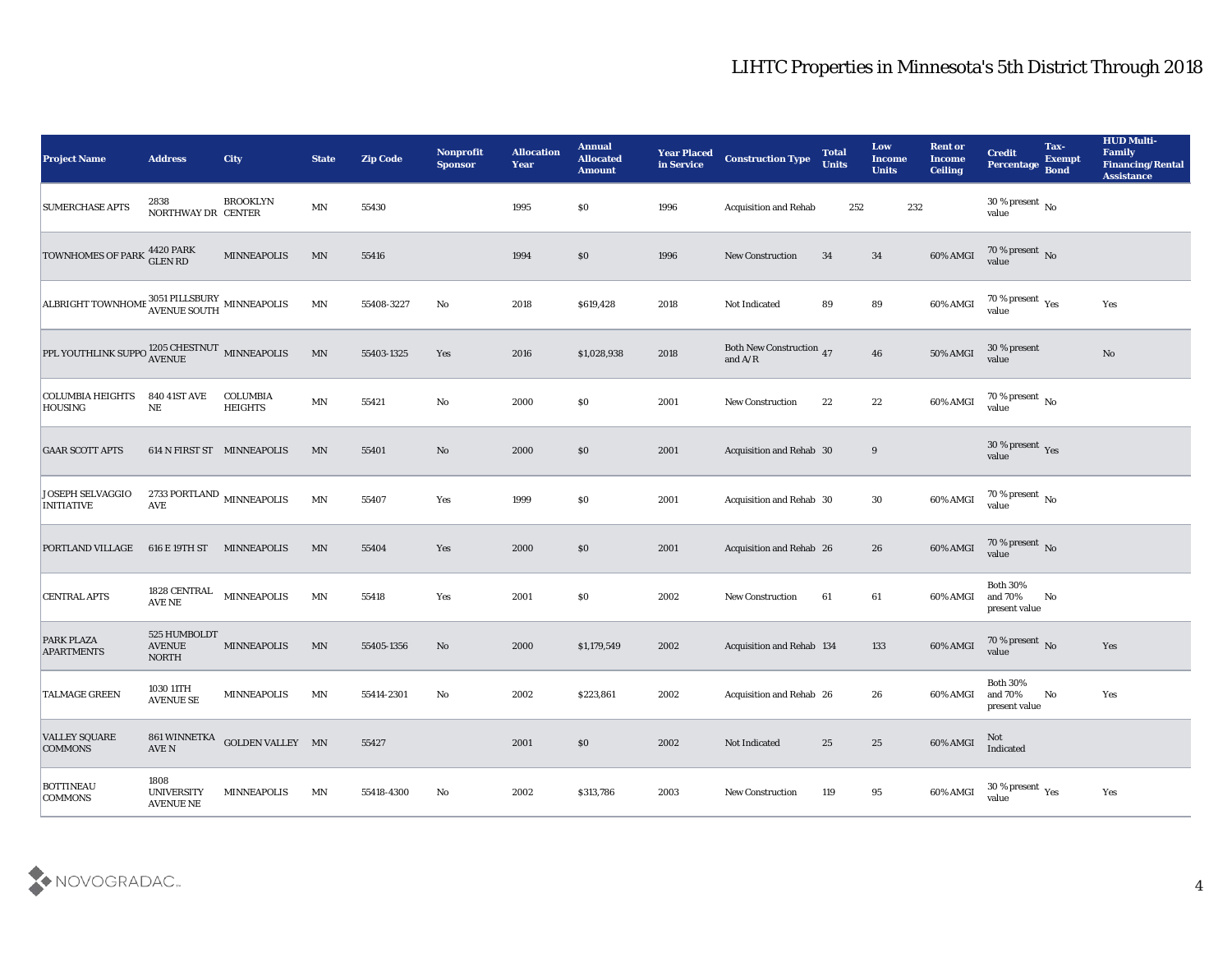| <b>Project Name</b>                                                     | <b>Address</b>                                | <b>City</b>                       | <b>State</b>             | <b>Zip Code</b> | Nonprofit<br><b>Sponsor</b> | <b>Allocation</b><br><b>Year</b> | <b>Annual</b><br><b>Allocated</b><br><b>Amount</b> | <b>Year Placed</b><br>in Service | <b>Construction Type</b>                     | <b>Total</b><br><b>Units</b> | Low<br><b>Income</b><br><b>Units</b> | <b>Rent or</b><br><b>Income</b><br><b>Ceiling</b> | <b>Credit</b><br><b>Percentage</b>            | Tax-<br><b>Exempt</b><br><b>Bond</b> | <b>HUD Multi-</b><br>Family<br><b>Financing/Rental</b><br><b>Assistance</b> |
|-------------------------------------------------------------------------|-----------------------------------------------|-----------------------------------|--------------------------|-----------------|-----------------------------|----------------------------------|----------------------------------------------------|----------------------------------|----------------------------------------------|------------------------------|--------------------------------------|---------------------------------------------------|-----------------------------------------------|--------------------------------------|-----------------------------------------------------------------------------|
| <b>SUMERCHASE APTS</b>                                                  | 2838<br>NORTHWAY DR CENTER                    | <b>BROOKLYN</b>                   | MN                       | 55430           |                             | 1995                             | $\$0$                                              | 1996                             | <b>Acquisition and Rehab</b>                 | 252                          | 232                                  |                                                   | $30\,\%$ present $\,$ No value                |                                      |                                                                             |
| TOWNHOMES OF PARK 4420 PARK                                             |                                               | MINNEAPOLIS                       | MN                       | 55416           |                             | 1994                             | $\$0$                                              | 1996                             | <b>New Construction</b>                      | 34                           | 34                                   | 60% AMGI                                          | $70\,\%$ present $\,$ No value                |                                      |                                                                             |
| ALBRIGHT TOWNHOME 3051 PILLSBURY MINNEAPOLIS                            |                                               |                                   | MN                       | 55408-3227      | No                          | 2018                             | \$619,428                                          | 2018                             | Not Indicated                                | 89                           | 89                                   | 60% AMGI                                          | 70 % present $_{\rm Yes}$<br>value            |                                      | Yes                                                                         |
| PPL YOUTHLINK SUPPO $^{1205\, \rm{CHESTNUT}}_{\rm{AVENUE}}$ MINNEAPOLIS |                                               |                                   | $\ensuremath{\text{MN}}$ | 55403-1325      | Yes                         | 2016                             | \$1,028,938                                        | 2018                             | <b>Both New Construction</b> 47<br>and $A/R$ |                              | 46                                   | 50% AMGI                                          | 30 % present<br>value                         |                                      | $\mathbf{N}\mathbf{o}$                                                      |
| <b>COLUMBIA HEIGHTS</b><br><b>HOUSING</b>                               | <b>840 41ST AVE</b><br>$\rm NE$               | <b>COLUMBIA</b><br><b>HEIGHTS</b> | MN                       | 55421           | No                          | 2000                             | $\$0$                                              | 2001                             | <b>New Construction</b>                      | 22                           | 22                                   | 60% AMGI                                          | 70 % present $\,$ No $\,$<br>value            |                                      |                                                                             |
| <b>GAAR SCOTT APTS</b>                                                  | 614 N FIRST ST MINNEAPOLIS                    |                                   | MN                       | 55401           | No                          | 2000                             | $\$0$                                              | 2001                             | Acquisition and Rehab 30                     |                              | 9                                    |                                                   | $30\,\%$ present $\,$ Yes value               |                                      |                                                                             |
| <b>JOSEPH SELVAGGIO</b><br><b>INITIATIVE</b>                            | 2733 PORTLAND $\,$ MINNEAPOLIS<br><b>AVE</b>  |                                   | $\mathbf{M} \mathbf{N}$  | 55407           | Yes                         | 1999                             | $\$0$                                              | 2001                             | Acquisition and Rehab 30                     |                              | 30                                   | 60% AMGI                                          | $70\,\%$ present $\,$ No value                |                                      |                                                                             |
| <b>PORTLAND VILLAGE</b>                                                 | 616 E 19TH ST                                 | MINNEAPOLIS                       | MN                       | 55404           | Yes                         | 2000                             | $\$0$                                              | 2001                             | Acquisition and Rehab 26                     |                              | 26                                   | 60% AMGI                                          | 70 % present No<br>value                      |                                      |                                                                             |
| <b>CENTRAL APTS</b>                                                     | 1828 CENTRAL<br>AVE NE                        | MINNEAPOLIS                       | $\mathbf{M} \mathbf{N}$  | 55418           | Yes                         | 2001                             | \$0\$                                              | 2002                             | <b>New Construction</b>                      | 61                           | 61                                   | 60% AMGI                                          | <b>Both 30%</b><br>and 70%<br>present value   | No                                   |                                                                             |
| PARK PLAZA<br><b>APARTMENTS</b>                                         | 525 HUMBOLDT<br><b>AVENUE</b><br><b>NORTH</b> | <b>MINNEAPOLIS</b>                | $\ensuremath{\text{MN}}$ | 55405-1356      | No                          | 2000                             | \$1,179,549                                        | 2002                             | Acquisition and Rehab 134                    |                              | 133                                  | 60% AMGI                                          | $70\,\%$ present $\,$ No value                |                                      | Yes                                                                         |
| <b>TALMAGE GREEN</b>                                                    | 1030 11TH<br><b>AVENUE SE</b>                 | <b>MINNEAPOLIS</b>                | MN                       | 55414-2301      | No                          | 2002                             | \$223,861                                          | 2002                             | Acquisition and Rehab 26                     |                              | 26                                   | 60% AMGI and 70%                                  | <b>Both 30%</b><br>$\,$ present value         | No                                   | Yes                                                                         |
| <b>VALLEY SQUARE</b><br><b>COMMONS</b>                                  | $\operatorname{AVE}$ N                        | 861 WINNETKA GOLDEN VALLEY MN     |                          | 55427           |                             | 2001                             | \$0                                                | 2002                             | Not Indicated                                | 25                           | 25                                   | 60% AMGI                                          | Not<br>Indicated                              |                                      |                                                                             |
| <b>BOTTINEAU</b><br><b>COMMONS</b>                                      | 1808<br><b>UNIVERSITY</b><br><b>AVENUE NE</b> | <b>MINNEAPOLIS</b>                | MN                       | 55418-4300      | $\mathbf{No}$               | 2002                             | \$313,786                                          | 2003                             | New Construction                             | 119                          | 95                                   | 60% AMGI                                          | 30 % present $\,\rm \gamma_{\rm es}$<br>value |                                      | Yes                                                                         |

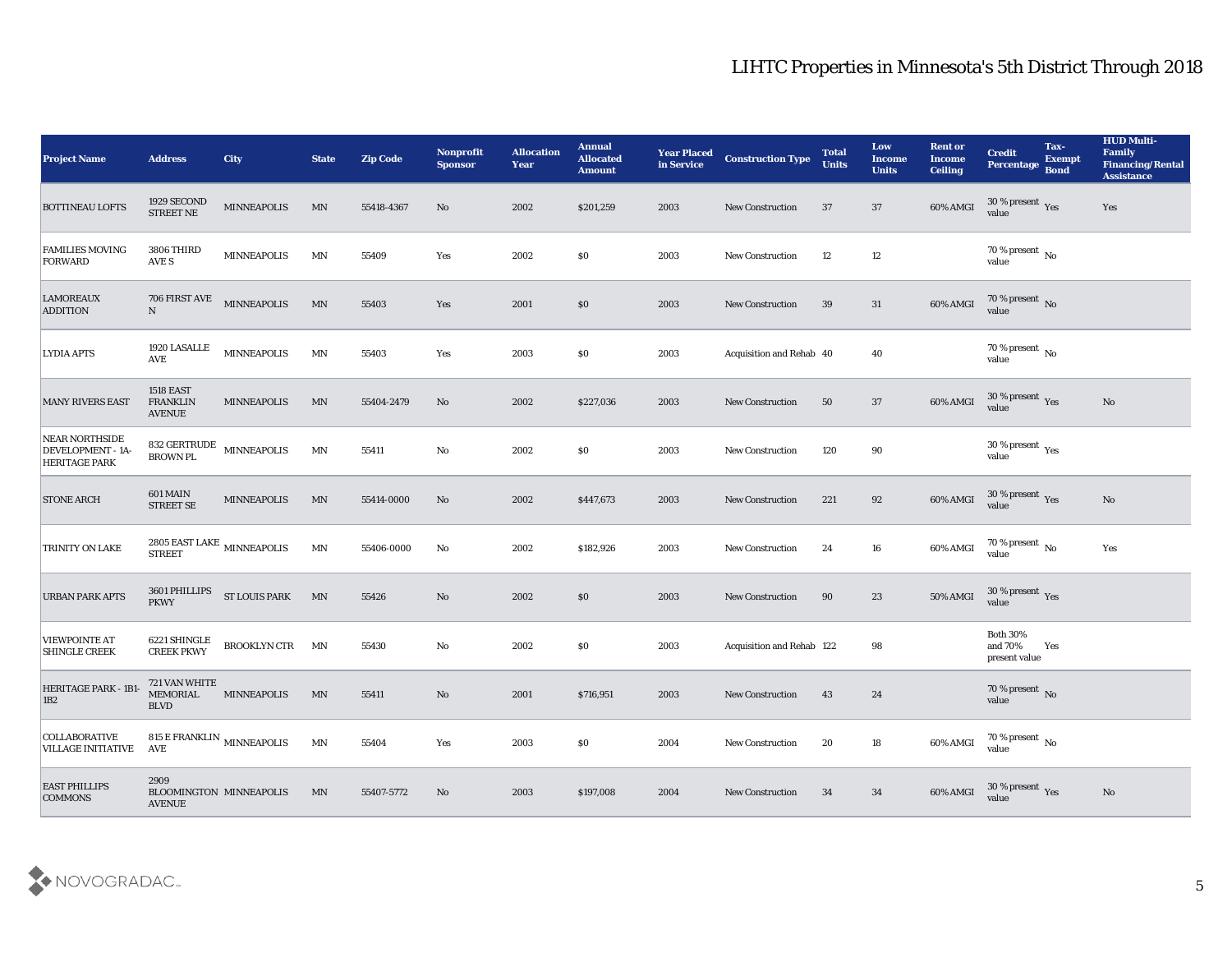| <b>Project Name</b>                                                | <b>Address</b>                                       | <b>City</b>                         | <b>State</b>             | <b>Zip Code</b> | Nonprofit<br><b>Sponsor</b> | <b>Allocation</b><br><b>Year</b> | <b>Annual</b><br><b>Allocated</b><br><b>Amount</b> | <b>Year Placed</b><br>in Service | <b>Construction Type</b>  | <b>Total</b><br><b>Units</b> | Low<br><b>Income</b><br><b>Units</b> | <b>Rent or</b><br><b>Income</b><br><b>Ceiling</b> | <b>Credit</b><br>Percentage                 | Tax-<br><b>Exempt</b><br><b>Bond</b> | <b>HUD Multi-</b><br>Family<br><b>Financing/Rental</b><br><b>Assistance</b> |
|--------------------------------------------------------------------|------------------------------------------------------|-------------------------------------|--------------------------|-----------------|-----------------------------|----------------------------------|----------------------------------------------------|----------------------------------|---------------------------|------------------------------|--------------------------------------|---------------------------------------------------|---------------------------------------------|--------------------------------------|-----------------------------------------------------------------------------|
| <b>BOTTINEAU LOFTS</b>                                             | 1929 SECOND<br>STREET NE                             | <b>MINNEAPOLIS</b>                  | MN                       | 55418-4367      | No                          | 2002                             | \$201,259                                          | 2003                             | <b>New Construction</b>   | 37                           | 37                                   | 60% AMGI                                          | $30\,\%$ present $\,$ Yes value             |                                      | Yes                                                                         |
| <b>FAMILIES MOVING</b><br>FORWARD                                  | 3806 THIRD<br>AVE S                                  | <b>MINNEAPOLIS</b>                  | MN                       | 55409           | Yes                         | 2002                             | $\$0$                                              | 2003                             | <b>New Construction</b>   | 12                           | 12                                   |                                                   | $70\,\%$ present $\,$ No value              |                                      |                                                                             |
| <b>LAMOREAUX</b><br><b>ADDITION</b>                                | 706 FIRST AVE<br>$\mathbf N$                         | <b>MINNEAPOLIS</b>                  | MN                       | 55403           | Yes                         | 2001                             | \$0                                                | 2003                             | <b>New Construction</b>   | 39                           | 31                                   | 60% AMGI                                          | $70\,\%$ present $\,$ No value              |                                      |                                                                             |
| <b>LYDIA APTS</b>                                                  | 1920 LASALLE<br><b>AVE</b>                           | MINNEAPOLIS                         | $\mathbf{M} \mathbf{N}$  | 55403           | Yes                         | 2003                             | $\$0$                                              | 2003                             | Acquisition and Rehab 40  |                              | 40                                   |                                                   | $70\,\%$ present $\,$ No value              |                                      |                                                                             |
| <b>MANY RIVERS EAST</b>                                            | <b>1518 EAST</b><br><b>FRANKLIN</b><br><b>AVENUE</b> | <b>MINNEAPOLIS</b>                  | MN                       | 55404-2479      | No                          | 2002                             | \$227,036                                          | 2003                             | <b>New Construction</b>   | 50                           | 37                                   | 60% AMGI                                          | $30\,\%$ present $\,$ Yes value             |                                      | No                                                                          |
| <b>NEAR NORTHSIDE</b><br>DEVELOPMENT - 1A-<br><b>HERITAGE PARK</b> | <b>BROWN PL</b>                                      | 832 GERTRUDE MINNEAPOLIS            | MN                       | 55411           | No                          | 2002                             | \$0\$                                              | 2003                             | <b>New Construction</b>   | 120                          | 90                                   |                                                   | $30\,\%$ present $\,$ Yes value             |                                      |                                                                             |
| <b>STONE ARCH</b>                                                  | 601 MAIN<br>STREET SE                                | <b>MINNEAPOLIS</b>                  | $\ensuremath{\text{MN}}$ | 55414-0000      | No                          | 2002                             | \$447,673                                          | 2003                             | <b>New Construction</b>   | 221                          | 92                                   | 60% AMGI                                          | $30\,\%$ present $\,$ Yes value             |                                      | No                                                                          |
| <b>TRINITY ON LAKE</b>                                             | <b>STREET</b>                                        | 2805 EAST LAKE $_{\rm MINNEAPOLIS}$ | MN                       | 55406-0000      | No                          | 2002                             | \$182,926                                          | 2003                             | <b>New Construction</b>   | 24                           | 16                                   | 60% AMGI                                          | $70\,\%$ present $\,$ No value              |                                      | Yes                                                                         |
| <b>URBAN PARK APTS</b>                                             | 3601 PHILLIPS<br><b>PKWY</b>                         | <b>ST LOUIS PARK</b>                | MN                       | 55426           | $\mathbf{N}\mathbf{o}$      | 2002                             | \$0                                                | 2003                             | <b>New Construction</b>   | 90                           | 23                                   | $50\%$ AMGI                                       | $30\,\%$ present $\,$ Yes value             |                                      |                                                                             |
| <b>VIEWPOINTE AT</b><br><b>SHINGLE CREEK</b>                       | 6221 SHINGLE<br><b>CREEK PKWY</b>                    | <b>BROOKLYN CTR</b>                 | MN                       | 55430           | No                          | 2002                             | $\$0$                                              | 2003                             | Acquisition and Rehab 122 |                              | 98                                   |                                                   | <b>Both 30%</b><br>and 70%<br>present value | Yes                                  |                                                                             |
| HERITAGE PARK - 1B1-<br> 1B2                                       | 721 VAN WHITE<br>MEMORIAL<br><b>BLVD</b>             | <b>MINNEAPOLIS</b>                  | MN                       | 55411           | No                          | 2001                             | \$716,951                                          | 2003                             | <b>New Construction</b>   | 43                           | 24                                   |                                                   | $70\,\%$ present $\,$ No value              |                                      |                                                                             |
| <b>COLLABORATIVE</b><br><b>VILLAGE INITIATIVE</b>                  | AVE                                                  | 815 E FRANKLIN $_{\rm MINNEAPOLIS}$ | $\ensuremath{\text{MN}}$ | 55404           | Yes                         | 2003                             | $\$0$                                              | 2004                             | New Construction          | 20                           | 18                                   | 60% AMGI                                          | $70\,\%$ present $\,$ No value              |                                      |                                                                             |
| <b>EAST PHILLIPS</b><br><b>COMMONS</b>                             | 2909<br><b>AVENUE</b>                                | BLOOMINGTON MINNEAPOLIS             | MN                       | 55407-5772      | $\mathbf{N}\mathbf{o}$      | 2003                             | \$197,008                                          | 2004                             | New Construction          | 34                           | 34                                   | 60% AMGI                                          | $30\,\%$ present $\,$ Yes value             |                                      | $\mathbf{N}\mathbf{o}$                                                      |

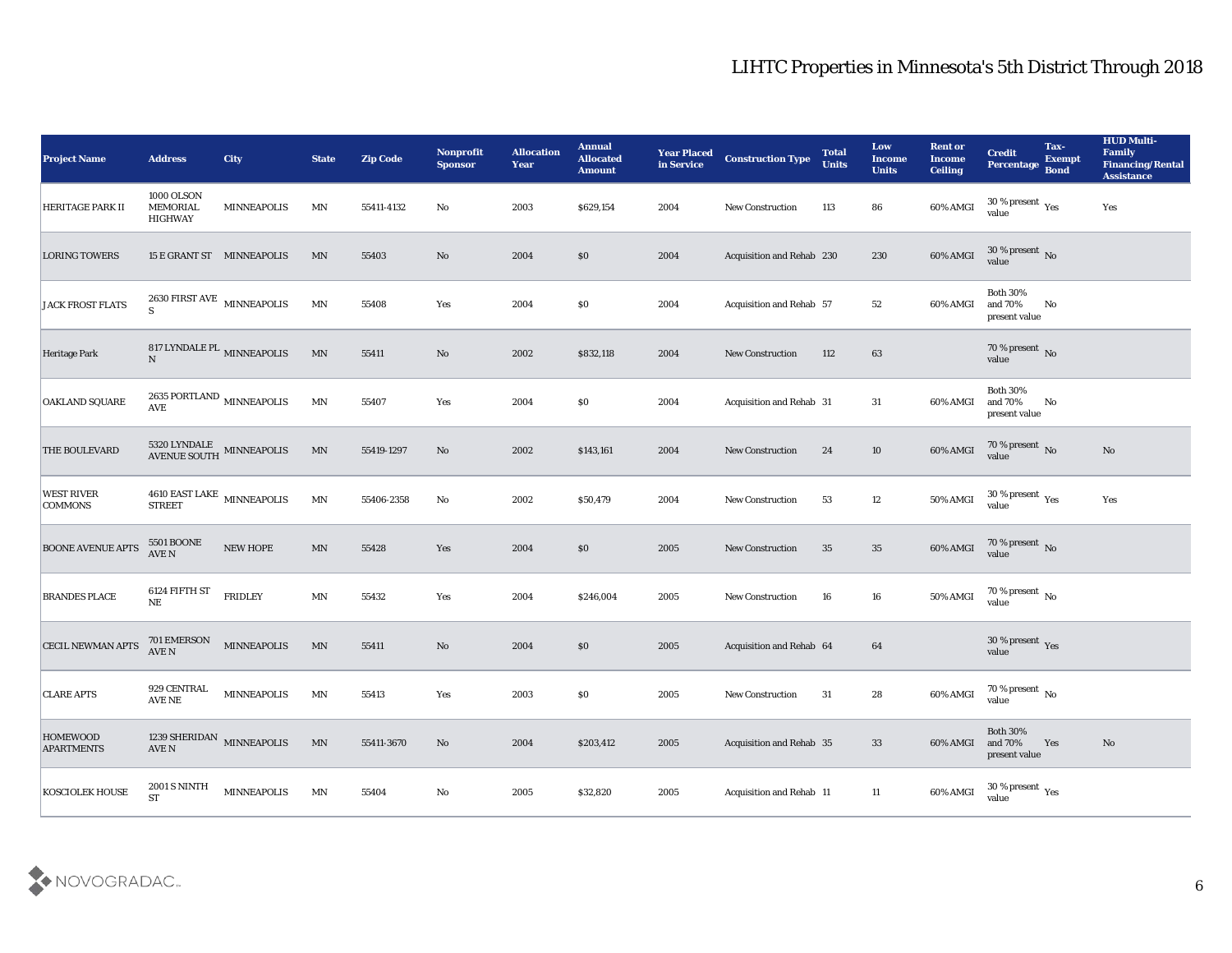| <b>Project Name</b>                  | <b>Address</b>                                           | <b>City</b>        | <b>State</b>             | <b>Zip Code</b> | Nonprofit<br><b>Sponsor</b> | <b>Allocation</b><br><b>Year</b> | <b>Annual</b><br><b>Allocated</b><br><b>Amount</b> | <b>Year Placed</b><br>in Service | <b>Construction Type</b>  | <b>Total</b><br><b>Units</b> | Low<br><b>Income</b><br><b>Units</b> | <b>Rent or</b><br><b>Income</b><br><b>Ceiling</b> | <b>Credit</b><br>Percentage                          | Tax-<br><b>Exempt</b><br><b>Bond</b> | <b>HUD Multi-</b><br>Family<br><b>Financing/Rental</b><br><b>Assistance</b> |
|--------------------------------------|----------------------------------------------------------|--------------------|--------------------------|-----------------|-----------------------------|----------------------------------|----------------------------------------------------|----------------------------------|---------------------------|------------------------------|--------------------------------------|---------------------------------------------------|------------------------------------------------------|--------------------------------------|-----------------------------------------------------------------------------|
| HERITAGE PARK II                     | 1000 OLSON<br><b>MEMORIAL</b><br><b>HIGHWAY</b>          | <b>MINNEAPOLIS</b> | MN                       | 55411-4132      | No                          | 2003                             | \$629,154                                          | 2004                             | <b>New Construction</b>   | 113                          | 86                                   | 60% AMGI                                          | 30 % present $\gamma_{\rm es}$<br>value              |                                      | Yes                                                                         |
| <b>LORING TOWERS</b>                 | 15 E GRANT ST MINNEAPOLIS                                |                    | MN                       | 55403           | No                          | 2004                             | $\$0$                                              | 2004                             | Acquisition and Rehab 230 |                              | 230                                  | 60% AMGI                                          | $30\,\%$ present $\,$ No value                       |                                      |                                                                             |
| <b>JACK FROST FLATS</b>              | 2630 FIRST AVE $\,$ MINNEAPOLIS $\,$<br>$\mathbf S$      |                    | MN                       | 55408           | Yes                         | 2004                             | \$0\$                                              | 2004                             | Acquisition and Rehab 57  |                              | 52                                   | 60% AMGI                                          | <b>Both 30%</b><br>and 70%<br>present value          | No                                   |                                                                             |
| Heritage Park                        | 817 LYNDALE PL MINNEAPOLIS<br>$\mathbf N$                |                    | $\mathbf{M} \mathbf{N}$  | 55411           | No                          | 2002                             | \$832,118                                          | 2004                             | <b>New Construction</b>   | 112                          | 63                                   |                                                   | $70\,\%$ present $\,$ No value                       |                                      |                                                                             |
| <b>OAKLAND SQUARE</b>                | 2635 PORTLAND $\,$ MINNEAPOLIS $\,$<br>AVE               |                    | MN                       | 55407           | Yes                         | 2004                             | $\$0$                                              | 2004                             | Acquisition and Rehab 31  |                              | 31                                   | 60% AMGI                                          | <b>Both 30%</b><br>and 70%<br>present value          | No                                   |                                                                             |
| <b>THE BOULEVARD</b>                 | $5320$ LYNDALE $$\tt MINNEAPOLIS$$ AVENUE SOUTH          |                    | MN                       | 55419-1297      | No                          | 2002                             | \$143,161                                          | 2004                             | <b>New Construction</b>   | 24                           | 10                                   | 60% AMGI                                          | $70\,\%$ present $\,$ No value                       |                                      | No                                                                          |
| <b>WEST RIVER</b><br><b>COMMONS</b>  | 4610 EAST LAKE MINNEAPOLIS<br><b>STREET</b>              |                    | MN                       | 55406-2358      | No                          | 2002                             | \$50,479                                           | 2004                             | New Construction          | 53                           | 12                                   | 50% AMGI                                          | $30\,\%$ present $\,$ Yes value                      |                                      | Yes                                                                         |
| <b>BOONE AVENUE APTS</b>             | <b>5501 BOONE</b><br><b>AVE N</b>                        | <b>NEW HOPE</b>    | $\ensuremath{\text{MN}}$ | 55428           | Yes                         | 2004                             | \$0\$                                              | 2005                             | <b>New Construction</b>   | 35                           | 35                                   | 60% AMGI                                          | $70\,\%$ present $\,$ No value                       |                                      |                                                                             |
| <b>BRANDES PLACE</b>                 | 6124 FIFTH ST<br>NE                                      | <b>FRIDLEY</b>     | $\ensuremath{\text{MN}}$ | 55432           | Yes                         | 2004                             | \$246,004                                          | 2005                             | <b>New Construction</b>   | 16                           | 16                                   | 50% AMGI                                          | $70\,\%$ present $\,$ No value                       |                                      |                                                                             |
| <b>CECIL NEWMAN APTS</b>             | 701 EMERSON<br>AVE N                                     | <b>MINNEAPOLIS</b> | $\mathbf{M} \mathbf{N}$  | 55411           | No                          | 2004                             | \$0\$                                              | 2005                             | Acquisition and Rehab 64  |                              | 64                                   |                                                   | $30\,\%$ present $\,$ Yes value                      |                                      |                                                                             |
| <b>CLARE APTS</b>                    | 929 CENTRAL<br>AVE NE                                    | <b>MINNEAPOLIS</b> | MN                       | 55413           | Yes                         | 2003                             | $\$0$                                              | 2005                             | <b>New Construction</b>   | 31                           | 28                                   | 60% AMGI                                          | 70 % present $\,$ No $\,$<br>value                   |                                      |                                                                             |
| <b>HOMEWOOD</b><br><b>APARTMENTS</b> | 1239 SHERIDAN $\,$ MINNEAPOLIS<br>$\operatorname{AVE}$ N |                    | $\ensuremath{\text{MN}}$ | 55411-3670      | $\mathbf {No}$              | 2004                             | \$203,412                                          | 2005                             | Acquisition and Rehab 35  |                              | 33                                   | 60% AMGI                                          | Both $30\%$<br>and $70\%$<br>present value           | Yes                                  | $\mathbf{N}\mathbf{o}$                                                      |
| <b>KOSCIOLEK HOUSE</b>               | <b>2001 S NINTH</b><br><b>ST</b>                         | <b>MINNEAPOLIS</b> | $\mathbf{M} \mathbf{N}$  | 55404           | $\mathbf {No}$              | 2005                             | \$32,820                                           | 2005                             | Acquisition and Rehab 11  |                              | 11                                   | 60% AMGI                                          | 30 % present $\rm\thinspace\gamma_{\rm es}$<br>value |                                      |                                                                             |

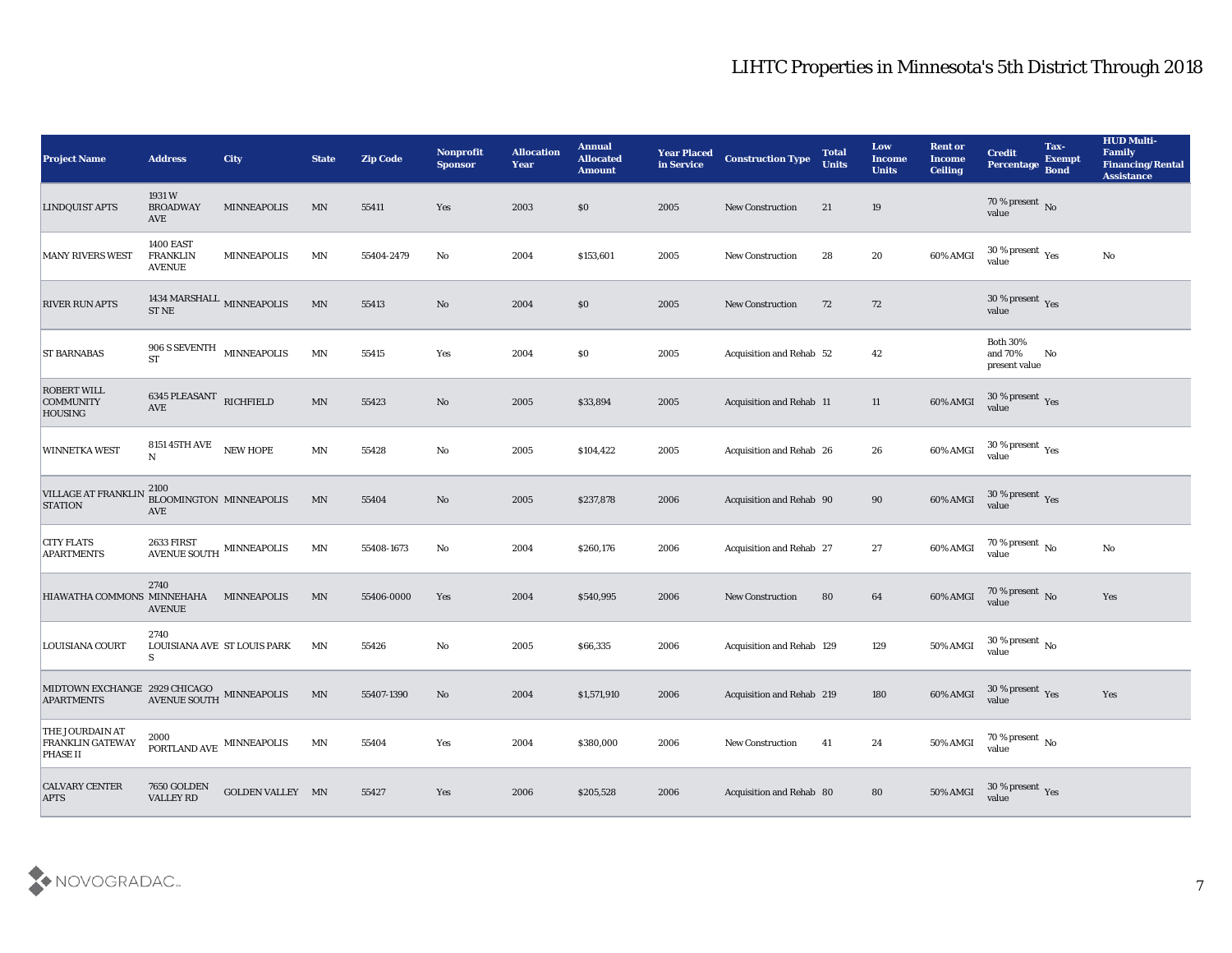| <b>Project Name</b>                                                                                                                                                                | <b>Address</b>                                       | City               | <b>State</b>            | <b>Zip Code</b> | Nonprofit<br><b>Sponsor</b> | <b>Allocation</b><br>Year | <b>Annual</b><br><b>Allocated</b><br><b>Amount</b> | <b>Year Placed</b><br>in Service | <b>Construction Type</b>        | <b>Total</b><br><b>Units</b> | Low<br><b>Income</b><br><b>Units</b> | <b>Rent or</b><br><b>Income</b><br><b>Ceiling</b> | <b>Credit</b><br><b>Percentage</b>             | Tax-<br><b>Exempt</b><br>Bond | <b>HUD Multi-</b><br>Family<br><b>Financing/Rental</b><br><b>Assistance</b> |
|------------------------------------------------------------------------------------------------------------------------------------------------------------------------------------|------------------------------------------------------|--------------------|-------------------------|-----------------|-----------------------------|---------------------------|----------------------------------------------------|----------------------------------|---------------------------------|------------------------------|--------------------------------------|---------------------------------------------------|------------------------------------------------|-------------------------------|-----------------------------------------------------------------------------|
| <b>LINDQUIST APTS</b>                                                                                                                                                              | 1931W<br><b>BROADWAY</b><br>AVE                      | MINNEAPOLIS        | MN                      | 55411           | Yes                         | 2003                      | \$0                                                | 2005                             | <b>New Construction</b>         | 21                           | 19                                   |                                                   | $70\,\%$ present $\,$ No value                 |                               |                                                                             |
| <b>MANY RIVERS WEST</b>                                                                                                                                                            | <b>1400 EAST</b><br><b>FRANKLIN</b><br><b>AVENUE</b> | <b>MINNEAPOLIS</b> | MN                      | 55404-2479      | No                          | 2004                      | \$153,601                                          | 2005                             | <b>New Construction</b>         | 28                           | 20                                   | 60% AMGI                                          | $30\,\%$ present $\,$ Yes value                |                               | No                                                                          |
| <b>RIVER RUN APTS</b>                                                                                                                                                              | 1434 MARSHALL $_{\rm MINNEAPOLIS}$<br><b>ST NE</b>   |                    | MN                      | 55413           | No                          | 2004                      | \$0                                                | 2005                             | <b>New Construction</b>         | 72                           | 72                                   |                                                   | 30 % present $\,\rm \gamma_{\rm e s}$<br>value |                               |                                                                             |
| <b>ST BARNABAS</b>                                                                                                                                                                 | 906 S SEVENTH MINNEAPOLIS<br><b>ST</b>               |                    | $\mathbf{M} \mathbf{N}$ | 55415           | Yes                         | 2004                      | \$0                                                | 2005                             | Acquisition and Rehab 52        |                              | 42                                   |                                                   | <b>Both 30%</b><br>and $70\%$<br>present value | No                            |                                                                             |
| <b>ROBERT WILL</b><br><b>COMMUNITY</b><br><b>HOUSING</b>                                                                                                                           | 6345 PLEASANT RICHFIELD<br><b>AVE</b>                |                    | MN                      | 55423           | No                          | 2005                      | \$33,894                                           | 2005                             | <b>Acquisition and Rehab 11</b> |                              | 11                                   | 60% AMGI                                          | $30\,\%$ present $\,$ Yes value                |                               |                                                                             |
| <b>WINNETKA WEST</b>                                                                                                                                                               | 8151 45TH AVE<br>N                                   | NEW HOPE           | MN                      | 55428           | No                          | 2005                      | \$104,422                                          | 2005                             | Acquisition and Rehab 26        |                              | 26                                   | 60% AMGI                                          | $30\,\%$ present $\,$ Yes value                |                               |                                                                             |
| VILLAGE AT FRANKLIN 2100<br><b>STATION</b>                                                                                                                                         | BLOOMINGTON MINNEAPOLIS<br><b>AVE</b>                |                    | MN                      | 55404           | No                          | 2005                      | \$237,878                                          | 2006                             | Acquisition and Rehab 90        |                              | 90                                   | 60% AMGI                                          | $30\,\%$ present $\,\mathrm{Yes}$ value        |                               |                                                                             |
| <b>CITY FLATS</b><br><b>APARTMENTS</b>                                                                                                                                             | <b>2633 FIRST</b><br>AVENUE SOUTH MINNEAPOLIS        |                    | MN                      | 55408-1673      | No                          | 2004                      | \$260,176                                          | 2006                             | Acquisition and Rehab 27        |                              | 27                                   | 60% AMGI                                          | $70\,\%$ present $\,$ No value                 |                               | No                                                                          |
| HIAWATHA COMMONS MINNEHAHA                                                                                                                                                         | 2740<br><b>AVENUE</b>                                | <b>MINNEAPOLIS</b> | MN                      | 55406-0000      | Yes                         | 2004                      | \$540,995                                          | 2006                             | <b>New Construction</b>         | 80                           | 64                                   | 60% AMGI                                          | $70$ % present $${\rm No}$$ value              |                               | Yes                                                                         |
| <b>LOUISIANA COURT</b>                                                                                                                                                             | 2740<br>LOUISIANA AVE ST LOUIS PARK<br>S             |                    | MN                      | 55426           | No                          | 2005                      | \$66,335                                           | 2006                             | Acquisition and Rehab 129       |                              | 129                                  | 50% AMGI                                          | $30\,\%$ present $\,$ No value                 |                               |                                                                             |
| $\begin{array}{lll} \textbf{MIDTOWN EXCHANGE} & \textbf{2929 CHICAGO} & \textbf{MINNEAPOLIS} \\ \textbf{APARTMENTS} & \textbf{AVENUE SOLUTION} & \textbf{MINNEAPOLIS} \end{array}$ |                                                      |                    | MN                      | 55407-1390      | No.                         | 2004                      | \$1,571,910                                        | 2006                             | Acquisition and Rehab 219       |                              | 180                                  | 60% AMGI                                          | $30\,\%$ present $\,$ Yes value                |                               | Yes                                                                         |
| <b>THE JOURDAIN AT</b><br><b>FRANKLIN GATEWAY</b><br><b>PHASE II</b>                                                                                                               | 2000<br>$\texttt{PORTLAND}$ AVE $\,$ MINNEAPOLIS     |                    | MN                      | 55404           | Yes                         | 2004                      | \$380,000                                          | 2006                             | New Construction                | 41                           | 24                                   | 50% AMGI                                          | $70\,\%$ present $\,$ No value                 |                               |                                                                             |
| <b>CALVARY CENTER</b><br><b>APTS</b>                                                                                                                                               | 7650 GOLDEN<br><b>VALLEY RD</b>                      | GOLDEN VALLEY MN   |                         | 55427           | Yes                         | 2006                      | \$205,528                                          | 2006                             | Acquisition and Rehab 80        |                              | 80                                   | <b>50% AMGI</b>                                   | $30\,\%$ present $\,$ Yes value                |                               |                                                                             |

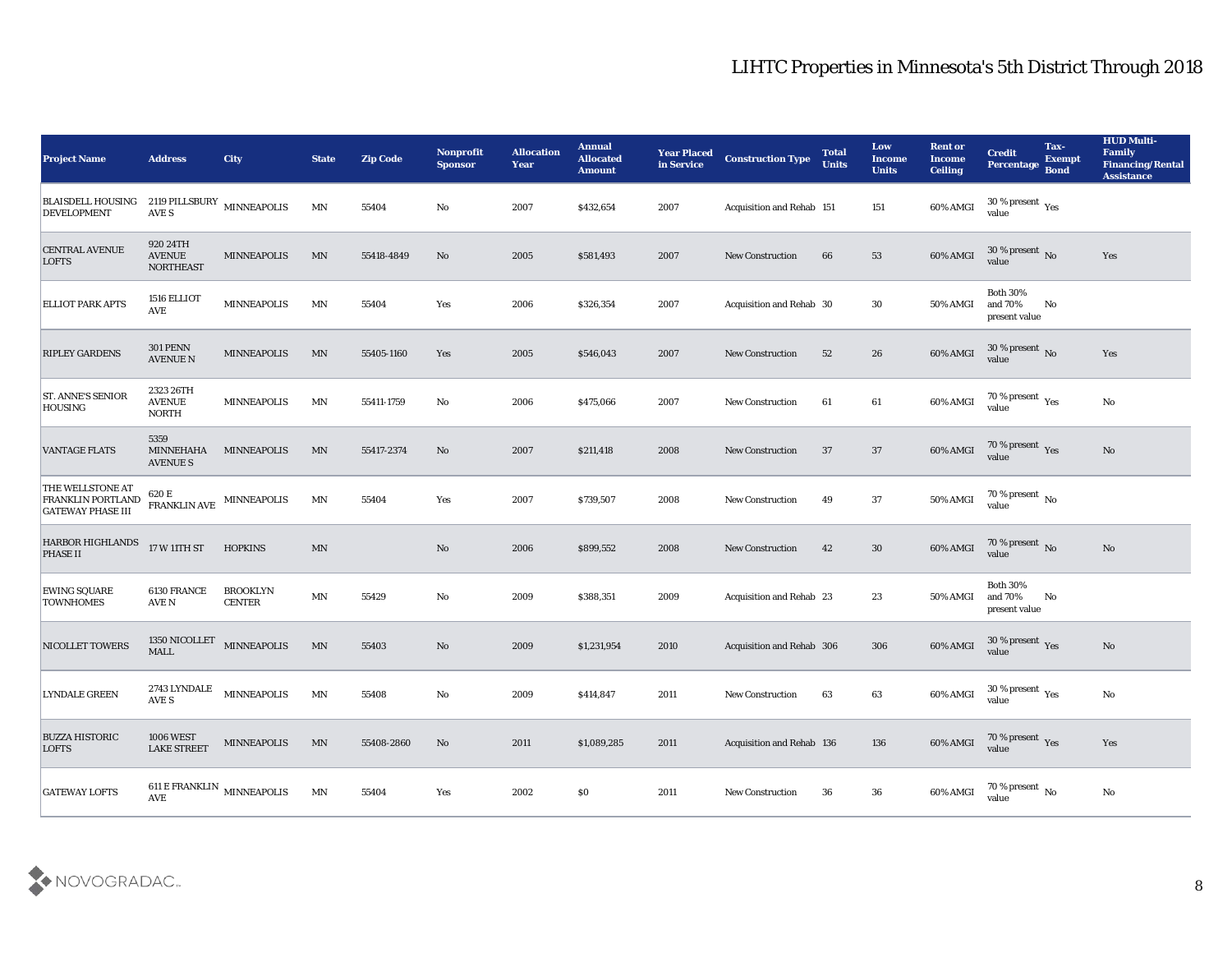| <b>Project Name</b>                                                      | <b>Address</b>                                | <b>City</b>                      | <b>State</b>             | <b>Zip Code</b> | <b>Nonprofit</b><br><b>Sponsor</b> | <b>Allocation</b><br><b>Year</b> | <b>Annual</b><br><b>Allocated</b><br><b>Amount</b> | <b>Year Placed</b><br>in Service | <b>Construction Type</b>  | <b>Total</b><br><b>Units</b> | Low<br><b>Income</b><br><b>Units</b> | <b>Rent or</b><br><b>Income</b><br><b>Ceiling</b> | <b>Credit</b><br><b>Percentage</b>                   | Tax-<br><b>Exempt</b><br><b>Bond</b> | <b>HUD Multi-</b><br>Family<br><b>Financing/Rental</b><br><b>Assistance</b> |
|--------------------------------------------------------------------------|-----------------------------------------------|----------------------------------|--------------------------|-----------------|------------------------------------|----------------------------------|----------------------------------------------------|----------------------------------|---------------------------|------------------------------|--------------------------------------|---------------------------------------------------|------------------------------------------------------|--------------------------------------|-----------------------------------------------------------------------------|
| <b>BLAISDELL HOUSING</b><br><b>DEVELOPMENT</b>                           | 2119 PILLSBURY $\,$ MINNEAPOLIS<br>AVE S      |                                  | MN                       | 55404           | No                                 | 2007                             | \$432,654                                          | 2007                             | Acquisition and Rehab 151 |                              | 151                                  | 60% AMGI                                          | 30 % present $\rm\thinspace\gamma_{\rm es}$<br>value |                                      |                                                                             |
| CENTRAL AVENUE<br><b>LOFTS</b>                                           | 920 24TH<br><b>AVENUE</b><br><b>NORTHEAST</b> | <b>MINNEAPOLIS</b>               | MN                       | 55418-4849      | No                                 | 2005                             | \$581,493                                          | 2007                             | <b>New Construction</b>   | 66                           | 53                                   | 60% AMGI                                          | $30\,\%$ present $\,$ No value                       |                                      | Yes                                                                         |
| <b>ELLIOT PARK APTS</b>                                                  | 1516 ELLIOT<br><b>AVE</b>                     | <b>MINNEAPOLIS</b>               | MN                       | 55404           | Yes                                | 2006                             | \$326,354                                          | 2007                             | Acquisition and Rehab 30  |                              | 30                                   | 50% AMGI                                          | <b>Both 30%</b><br>and 70%<br>present value          | No                                   |                                                                             |
| <b>RIPLEY GARDENS</b>                                                    | <b>301 PENN</b><br><b>AVENUE N</b>            | <b>MINNEAPOLIS</b>               | MN                       | 55405-1160      | Yes                                | 2005                             | \$546,043                                          | 2007                             | <b>New Construction</b>   | 52                           | 26                                   | 60% AMGI                                          | $30\,\%$ present $\,$ No value                       |                                      | Yes                                                                         |
| ST. ANNE'S SENIOR<br><b>HOUSING</b>                                      | 2323 26TH<br><b>AVENUE</b><br><b>NORTH</b>    | <b>MINNEAPOLIS</b>               | MN                       | 55411-1759      | No                                 | 2006                             | \$475,066                                          | 2007                             | <b>New Construction</b>   | 61                           | 61                                   | 60% AMGI                                          | 70 % present $\gamma_{\rm es}$<br>value              |                                      | No                                                                          |
| <b>VANTAGE FLATS</b>                                                     | 5359<br>MINNEHAHA<br><b>AVENUE S</b>          | MINNEAPOLIS                      | MN                       | 55417-2374      | No                                 | 2007                             | \$211,418                                          | 2008                             | <b>New Construction</b>   | 37                           | 37                                   | 60% AMGI                                          | $70\,\%$ present $\,$ Yes value                      |                                      | No                                                                          |
| THE WELLSTONE AT<br><b>FRANKLIN PORTLAND</b><br><b>GATEWAY PHASE III</b> | 620 E<br><b>FRANKLIN AVE</b>                  | <b>MINNEAPOLIS</b>               | MN                       | 55404           | Yes                                | 2007                             | \$739,507                                          | 2008                             | <b>New Construction</b>   | 49                           | 37                                   | 50% AMGI                                          | $70\,\%$ present $\,$ No value                       |                                      |                                                                             |
| <b>HARBOR HIGHLANDS</b><br>PHASE II                                      | 17 W 11TH ST                                  | <b>HOPKINS</b>                   | $\mathbf{M} \mathbf{N}$  |                 | No                                 | 2006                             | \$899,552                                          | 2008                             | <b>New Construction</b>   | 42                           | 30                                   | 60% AMGI                                          | $70\,\%$ present $\,$ No value                       |                                      | No                                                                          |
| <b>EWING SQUARE</b><br><b>TOWNHOMES</b>                                  | 6130 FRANCE<br>AVE N                          | <b>BROOKLYN</b><br><b>CENTER</b> | MN                       | 55429           | No                                 | 2009                             | \$388,351                                          | 2009                             | Acquisition and Rehab 23  |                              | 23                                   | 50% AMGI                                          | <b>Both 30%</b><br>and $70\%$<br>present value       | No                                   |                                                                             |
| <b>NICOLLET TOWERS</b>                                                   | 1350 NICOLLET<br><b>MALL</b>                  | <b>MINNEAPOLIS</b>               | $\ensuremath{\text{MN}}$ | 55403           | No                                 | 2009                             | \$1,231,954                                        | 2010                             | Acquisition and Rehab 306 |                              | 306                                  | 60% AMGI                                          | $30\,\%$ present $\,$ Yes value                      |                                      | No                                                                          |
| <b>LYNDALE GREEN</b>                                                     | 2743 LYNDALE<br>AVE S                         | <b>MINNEAPOLIS</b>               | MN                       | 55408           | No                                 | 2009                             | \$414,847                                          | 2011                             | <b>New Construction</b>   | 63                           | 63                                   | 60% AMGI                                          | 30 % present $\rm\thinspace\gamma_{\rm es}$<br>value |                                      | $\mathbf{N}\mathbf{o}$                                                      |
| <b>BUZZA HISTORIC</b><br><b>LOFTS</b>                                    | <b>1006 WEST</b><br><b>LAKE STREET</b>        | MINNEAPOLIS                      | $\ensuremath{\text{MN}}$ | 55408-2860      | No                                 | 2011                             | \$1,089,285                                        | 2011                             | Acquisition and Rehab 136 |                              | 136                                  | 60% AMGI                                          | $70\,\%$ present $\,\mathrm{Yes}$ value              |                                      | Yes                                                                         |
| <b>GATEWAY LOFTS</b>                                                     | $\operatorname{\mathbf{AVE}}$                 | 611 E FRANKLIN $\,$ MINNEAPOLIS  | $\mathbf{M} \mathbf{N}$  | 55404           | $\mathbf{Yes}$                     | 2002                             | \$0                                                | 2011                             | New Construction          | 36                           | $36\,$                               | 60% AMGI                                          | $70\,\%$ present $\,$ No value                       |                                      | $\mathbf {No}$                                                              |

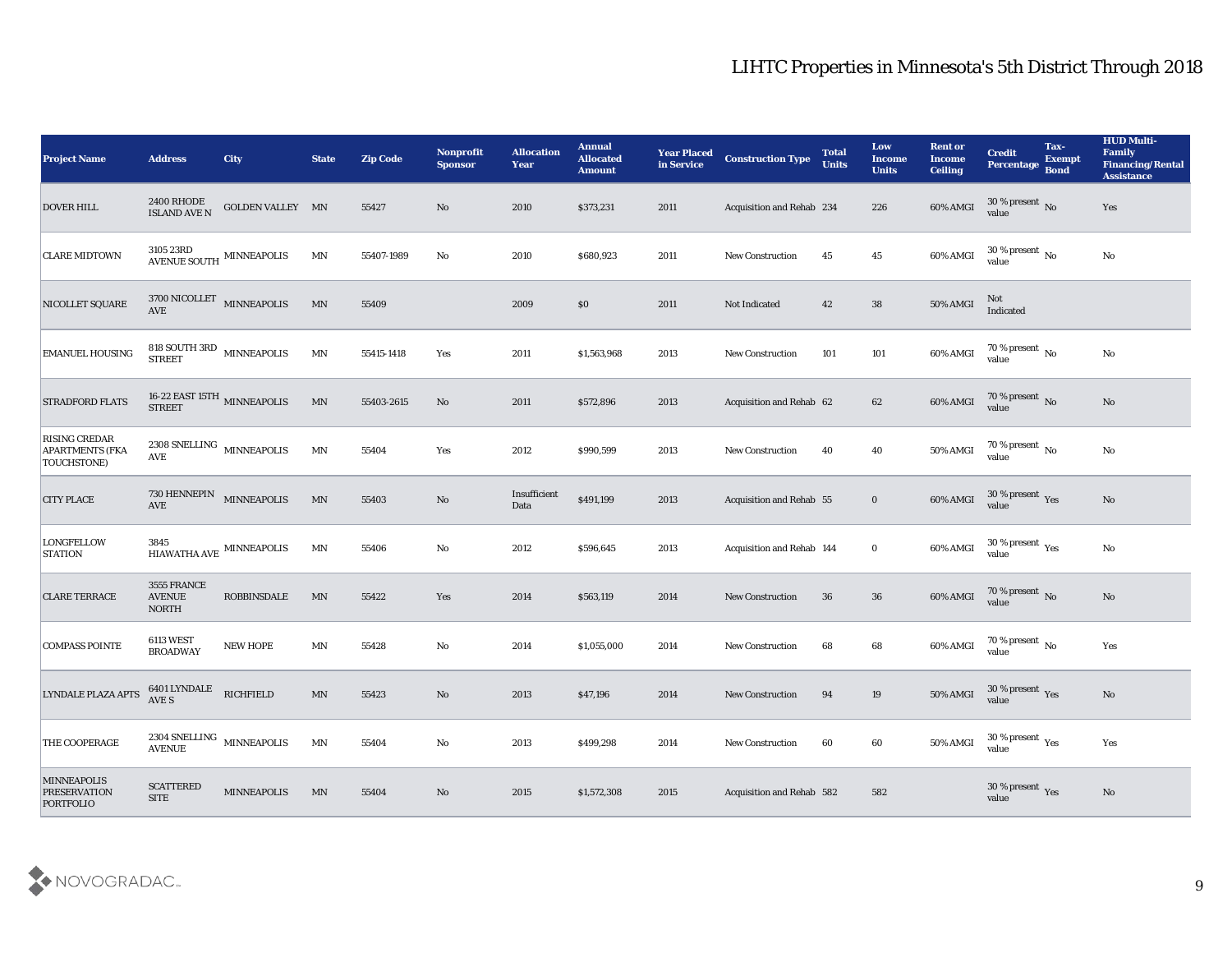| <b>Project Name</b>                                                   | <b>Address</b>                                               | <b>City</b>                           | <b>State</b>             | <b>Zip Code</b> | <b>Nonprofit</b><br><b>Sponsor</b> | <b>Allocation</b><br><b>Year</b> | <b>Annual</b><br><b>Allocated</b><br><b>Amount</b> | <b>Year Placed</b><br>in Service | <b>Construction Type</b>         | <b>Total</b><br><b>Units</b> | <b>Low</b><br><b>Income</b><br><b>Units</b> | <b>Rent or</b><br><b>Income</b><br><b>Ceiling</b> | <b>Credit</b><br>Percentage                          | Tax-<br><b>Exempt</b><br><b>Bond</b> | <b>HUD Multi-</b><br>Family<br><b>Financing/Rental</b><br><b>Assistance</b> |
|-----------------------------------------------------------------------|--------------------------------------------------------------|---------------------------------------|--------------------------|-----------------|------------------------------------|----------------------------------|----------------------------------------------------|----------------------------------|----------------------------------|------------------------------|---------------------------------------------|---------------------------------------------------|------------------------------------------------------|--------------------------------------|-----------------------------------------------------------------------------|
| <b>DOVER HILL</b>                                                     | <b>2400 RHODE</b><br><b>ISLAND AVE N</b>                     | GOLDEN VALLEY MN                      |                          | 55427           | No                                 | 2010                             | \$373,231                                          | 2011                             | Acquisition and Rehab 234        |                              | 226                                         | 60% AMGI                                          | $30\,\%$ present $\,$ No value                       |                                      | Yes                                                                         |
| <b>CLARE MIDTOWN</b>                                                  | $3105\ 23\mathrm{RD}$ MINNEAPOLIS AVENUE SOUTH               |                                       | MN                       | 55407-1989      | No                                 | 2010                             | \$680,923                                          | 2011                             | <b>New Construction</b>          | 45                           | 45                                          | 60% AMGI                                          | $30\,\%$ present $\,$ No value                       |                                      | $\mathbf{N}\mathbf{o}$                                                      |
| NICOLLET SQUARE                                                       | <b>AVE</b>                                                   | $3700\,$ NICOLLET $$\tt MINNEAPOLIS$$ | MN                       | 55409           |                                    | 2009                             | \$0                                                | 2011                             | Not Indicated                    | 42                           | 38                                          | <b>50% AMGI</b>                                   | Not<br>Indicated                                     |                                      |                                                                             |
| <b>EMANUEL HOUSING</b>                                                | 818 SOUTH 3RD MINNEAPOLIS<br><b>STREET</b>                   |                                       | MN                       | 55415-1418      | Yes                                | 2011                             | \$1,563,968                                        | 2013                             | New Construction                 | 101                          | 101                                         | 60% AMGI                                          | $70\,\%$ present $\,$ No value                       |                                      | $\mathbf{N}\mathbf{o}$                                                      |
| <b>STRADFORD FLATS</b>                                                | 16-22 EAST 15TH $\,$ MINNEAPOLIS STREET                      |                                       | $\ensuremath{\text{MN}}$ | 55403-2615      | No                                 | 2011                             | \$572,896                                          | 2013                             | Acquisition and Rehab 62         |                              | 62                                          | 60% AMGI                                          | $70\,\%$ present $\,$ No value                       |                                      | $\mathbf{N}\mathbf{o}$                                                      |
| <b>RISING CREDAR</b><br><b>APARTMENTS (FKA</b><br><b>TOUCHSTONE</b> ) | $2308\ \mathrm{SNELING}\ \mathrm{MINNEAPOLIS}$<br><b>AVE</b> |                                       | MN                       | 55404           | Yes                                | 2012                             | \$990,599                                          | 2013                             | <b>New Construction</b>          | 40                           | 40                                          | 50% AMGI                                          | 70 % present $\,$ No $\,$<br>value                   |                                      | No                                                                          |
| <b>CITY PLACE</b>                                                     | 730 HENNEPIN MINNEAPOLIS<br><b>AVE</b>                       |                                       | $\ensuremath{\text{MN}}$ | 55403           | $\mathbf {No}$                     | Insufficient<br>Data             | \$491,199                                          | 2013                             | Acquisition and Rehab 55         |                              | $\mathbf{0}$                                | 60% AMGI                                          | $30\,\%$ present $\,$ Yes value                      |                                      | No                                                                          |
| <b>LONGFELLOW</b><br><b>STATION</b>                                   | 3845                                                         | HIAWATHA AVE $\,$ MINNEAPOLIS $\,$    | MN                       | 55406           | No                                 | 2012                             | \$596,645                                          | 2013                             | <b>Acquisition and Rehab 144</b> |                              | $\bf{0}$                                    | 60% AMGI                                          | $30\,\%$ present $\,$ Yes value                      |                                      | No                                                                          |
| <b>CLARE TERRACE</b>                                                  | 3555 FRANCE<br><b>AVENUE</b><br><b>NORTH</b>                 | <b>ROBBINSDALE</b>                    | MN                       | 55422           | Yes                                | 2014                             | \$563,119                                          | 2014                             | <b>New Construction</b>          | 36                           | 36                                          | 60% AMGI                                          | $70\,\%$ present $\,$ No value                       |                                      | $\mathbf{N}\mathbf{o}$                                                      |
| <b>COMPASS POINTE</b>                                                 | <b>6113 WEST</b><br><b>BROADWAY</b>                          | <b>NEW HOPE</b>                       | $\mathbf{M} \mathbf{N}$  | 55428           | No                                 | 2014                             | \$1,055,000                                        | 2014                             | <b>New Construction</b>          | 68                           | 68                                          | 60% AMGI                                          | $70\,\%$ present $\,$ No value                       |                                      | Yes                                                                         |
| <b>LYNDALE PLAZA APTS</b>                                             | 6401 LYNDALE<br>AVE S                                        | <b>RICHFIELD</b>                      | MN                       | 55423           | No                                 | 2013                             | \$47,196                                           | 2014                             | <b>New Construction</b>          | 94                           | 19                                          | <b>50% AMGI</b>                                   | 30 % present Yes<br>value                            |                                      | No                                                                          |
| THE COOPERAGE                                                         | <b>AVENUE</b>                                                | 2304 SNELLING MINNEAPOLIS             | MN                       | 55404           | $\rm\thinspace No$                 | 2013                             | \$499,298                                          | 2014                             | <b>New Construction</b>          | 60                           | 60                                          | 50% AMGI                                          | 30 % present $\rm\thinspace\gamma_{\rm es}$<br>value |                                      | Yes                                                                         |
| <b>MINNEAPOLIS</b><br><b>PRESERVATION</b><br>PORTFOLIO                | <b>SCATTERED</b><br>$\operatorname{SITE}$                    | MINNEAPOLIS                           | $\ensuremath{\text{MN}}$ | 55404           | $\rm\thinspace No$                 | 2015                             | \$1,572,308                                        | 2015                             | Acquisition and Rehab 582        |                              | 582                                         |                                                   | $30\,\%$ present $\,$ Yes value                      |                                      | $\mathbf {No}$                                                              |

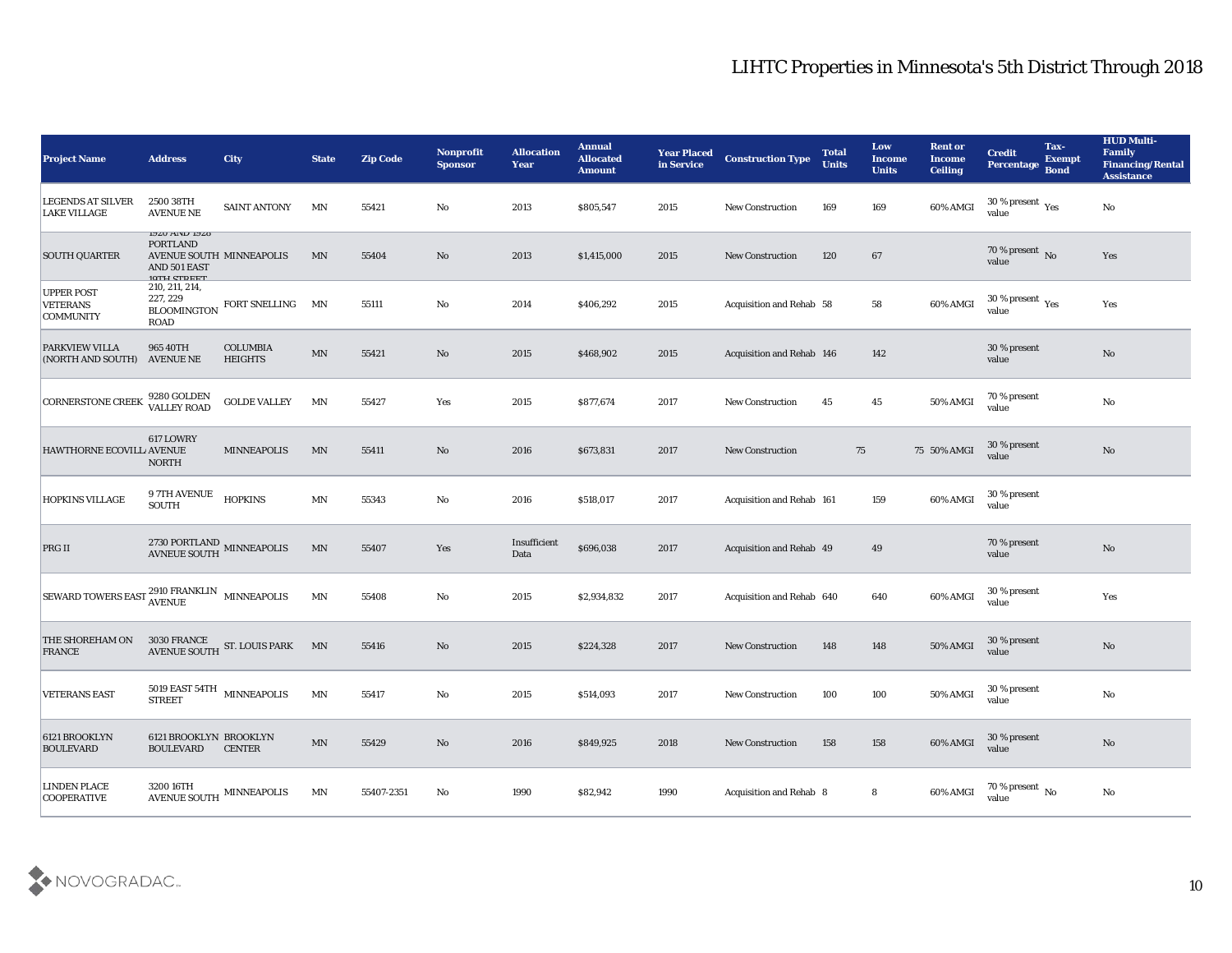| <b>Project Name</b>                                      | <b>Address</b>                                                                                            | <b>City</b>                                | <b>State</b>             | <b>Zip Code</b> | <b>Nonprofit</b><br><b>Sponsor</b> | <b>Allocation</b><br><b>Year</b> | <b>Annual</b><br><b>Allocated</b><br><b>Amount</b> | <b>Year Placed</b><br>in Service | <b>Construction Type</b>        | <b>Total</b><br><b>Units</b> | Low<br><b>Income</b><br><b>Units</b> | <b>Rent or</b><br><b>Income</b><br><b>Ceiling</b> | <b>Credit</b><br>Percentage                          | Tax-<br><b>Exempt</b><br><b>Bond</b> | <b>HUD Multi-</b><br>Family<br><b>Financing/Rental</b><br><b>Assistance</b> |
|----------------------------------------------------------|-----------------------------------------------------------------------------------------------------------|--------------------------------------------|--------------------------|-----------------|------------------------------------|----------------------------------|----------------------------------------------------|----------------------------------|---------------------------------|------------------------------|--------------------------------------|---------------------------------------------------|------------------------------------------------------|--------------------------------------|-----------------------------------------------------------------------------|
| <b>LEGENDS AT SILVER</b><br><b>LAKE VILLAGE</b>          | 2500 38TH<br><b>AVENUE NE</b>                                                                             | <b>SAINT ANTONY</b>                        | MN                       | 55421           | No                                 | 2013                             | \$805,547                                          | 2015                             | <b>New Construction</b>         | 169                          | 169                                  | 60% AMGI                                          | 30 % present $\gamma_{\rm e s}$<br>value             |                                      | No                                                                          |
| <b>SOUTH QUARTER</b>                                     | <b>1920 AND 1920</b><br><b>PORTLAND</b><br>AVENUE SOUTH MINNEAPOLIS<br>AND 501 EAST<br><b>10TU CTDEET</b> |                                            | MN                       | 55404           | No                                 | 2013                             | \$1,415,000                                        | 2015                             | <b>New Construction</b>         | 120                          | 67                                   |                                                   | 70 % present No<br>value                             |                                      | Yes                                                                         |
| <b>UPPER POST</b><br><b>VETERANS</b><br><b>COMMUNITY</b> | 210, 211, 214,<br>227, 229<br><b>BLOOMINGTON</b><br><b>ROAD</b>                                           | FORT SNELLING                              | MN                       | 55111           | No                                 | 2014                             | \$406,292                                          | 2015                             | Acquisition and Rehab 58        |                              | 58                                   | 60% AMGI                                          | 30 % present $\rm\thinspace\gamma_{\rm es}$<br>value |                                      | Yes                                                                         |
| <b>PARKVIEW VILLA</b><br>(NORTH AND SOUTH) AVENUE NE     | 965 40TH                                                                                                  | <b>COLUMBIA</b><br><b>HEIGHTS</b>          | MN                       | 55421           | $\mathbf{N}\mathbf{o}$             | 2015                             | \$468,902                                          | 2015                             | Acquisition and Rehab 146       |                              | 142                                  |                                                   | 30 % present<br>value                                |                                      | $\mathbf{N}\mathbf{o}$                                                      |
| <b>CORNERSTONE CREEK</b>                                 | 9280 GOLDEN<br>VALLEY ROAD                                                                                | <b>GOLDE VALLEY</b>                        | MN                       | 55427           | Yes                                | 2015                             | \$877,674                                          | 2017                             | New Construction                | 45                           | 45                                   | 50% AMGI                                          | 70 % present<br>value                                |                                      | $\mathbf{N}\mathbf{o}$                                                      |
| <b>HAWTHORNE ECOVILL AVENUE</b>                          | 617 LOWRY<br><b>NORTH</b>                                                                                 | <b>MINNEAPOLIS</b>                         | MN                       | 55411           | No                                 | 2016                             | \$673,831                                          | 2017                             | <b>New Construction</b>         | 75                           |                                      | 75 50% AMGI                                       | 30 % present<br>value                                |                                      | No                                                                          |
| HOPKINS VILLAGE                                          | <b>9 7TH AVENUE</b><br><b>SOUTH</b>                                                                       | <b>HOPKINS</b>                             | $\ensuremath{\text{MN}}$ | 55343           | No                                 | 2016                             | \$518,017                                          | 2017                             | Acquisition and Rehab 161       |                              | 159                                  | 60% AMGI                                          | 30 % present<br>value                                |                                      |                                                                             |
| PRG II                                                   | $\,$ 2730 PORTLAND MINNEAPOLIS AVNEUE SOUTH                                                               |                                            | MN                       | 55407           | Yes                                | Insufficient<br>Data             | \$696,038                                          | 2017                             | <b>Acquisition and Rehab 49</b> |                              | 49                                   |                                                   | 70 % present<br>value                                |                                      | No                                                                          |
| <b>SEWARD TOWERS EAST</b>                                | $2910$ FRANKLIN $$\tt MINNEAPOLIS$$                                                                       |                                            | MN                       | 55408           | No                                 | 2015                             | \$2,934,832                                        | 2017                             | Acquisition and Rehab 640       |                              | 640                                  | 60% AMGI                                          | 30 % present<br>value                                |                                      | Yes                                                                         |
| THE SHOREHAM ON<br><b>FRANCE</b>                         |                                                                                                           | 3030 FRANCE<br>AVENUE SOUTH ST. LOUIS PARK | MN                       | 55416           | $\mathbf{N}\mathbf{o}$             | 2015                             | \$224,328                                          | 2017                             | <b>New Construction</b>         | 148                          | 148                                  | 50% AMGI                                          | 30 % present<br>value                                |                                      | $\mathbf{N}\mathbf{o}$                                                      |
| <b>VETERANS EAST</b>                                     | 5019 EAST 54TH $$\tt MINNEAPOLIS$$<br><b>STREET</b>                                                       |                                            | MN                       | 55417           | No                                 | 2015                             | \$514,093                                          | 2017                             | <b>New Construction</b>         | 100                          | 100                                  | 50% AMGI                                          | 30 % present<br>value                                |                                      | No                                                                          |
| 6121 BROOKLYN<br><b>BOULEVARD</b>                        | 6121 BROOKLYN BROOKLYN<br><b>BOULEVARD</b>                                                                | <b>CENTER</b>                              | $\mathbf{M} \mathbf{N}$  | 55429           | $\mathbf {No}$                     | 2016                             | \$849,925                                          | 2018                             | New Construction                | 158                          | 158                                  | 60% AMGI                                          | 30 % present<br>value                                |                                      | $\mathbf {No}$                                                              |
| <b>LINDEN PLACE</b><br><b>COOPERATIVE</b>                | 3200 16TH                                                                                                 | AVENUE SOUTH MINNEAPOLIS                   | MN                       | 55407-2351      | $\mathbf {No}$                     | 1990                             | \$82,942                                           | 1990                             | <b>Acquisition and Rehab 8</b>  |                              | ${\bf 8}$                            | 60% AMGI                                          | 70 % present $\,$ No $\,$<br>value                   |                                      | $\mathbf{N}\mathbf{o}$                                                      |

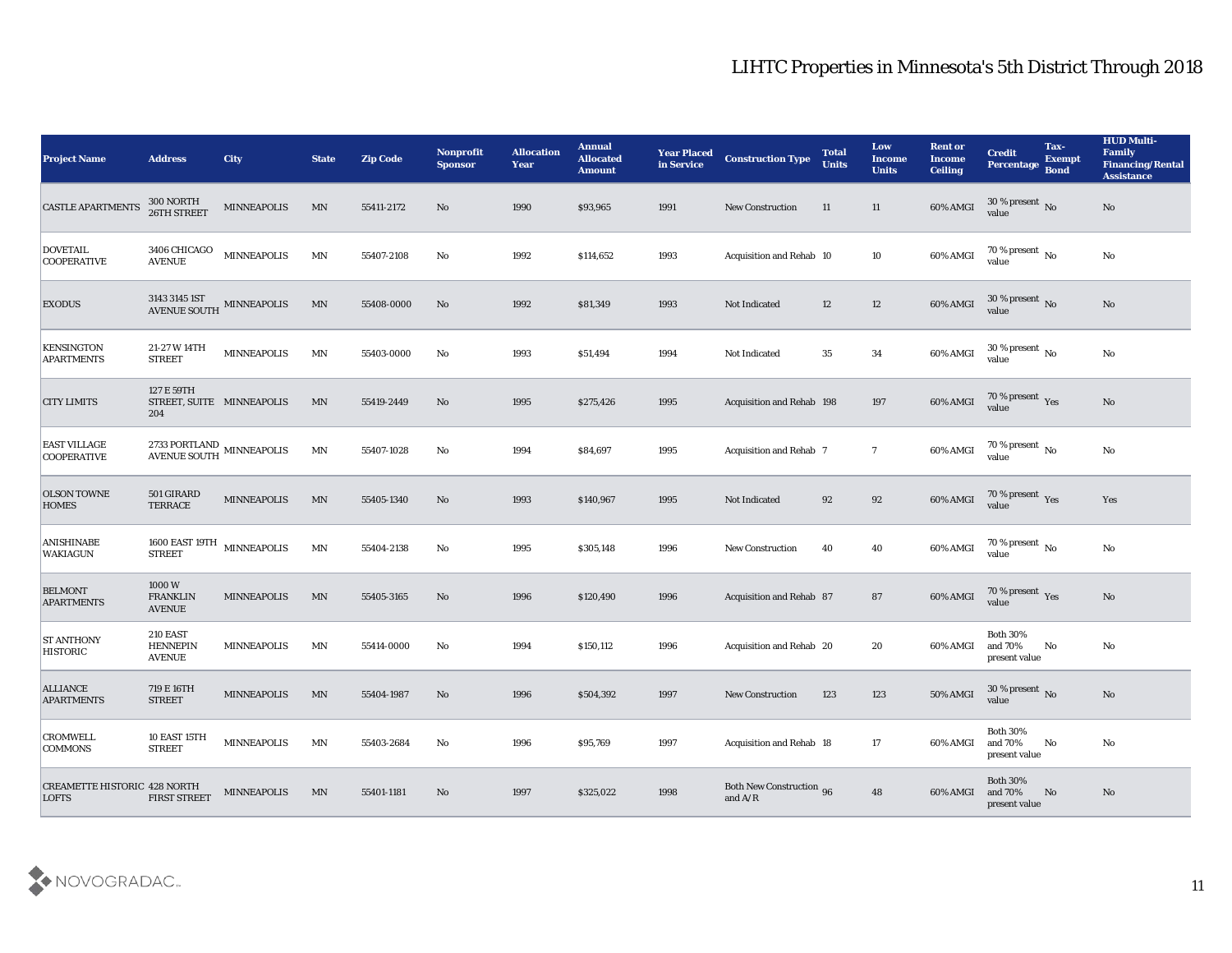| <b>Project Name</b>                          | <b>Address</b>                                      | City               | <b>State</b>             | <b>Zip Code</b> | <b>Nonprofit</b><br><b>Sponsor</b> | <b>Allocation</b><br><b>Year</b> | <b>Annual</b><br><b>Allocated</b><br><b>Amount</b> | <b>Year Placed</b><br>in Service | <b>Construction Type</b>                                                                               | <b>Total</b><br><b>Units</b> | Low<br><b>Income</b><br><b>Units</b> | <b>Rent or</b><br><b>Income</b><br><b>Ceiling</b> | <b>Credit</b><br>Percentage                    | Tax-<br><b>Exempt</b><br><b>Bond</b> | <b>HUD Multi-</b><br>Family<br><b>Financing/Rental</b><br><b>Assistance</b> |
|----------------------------------------------|-----------------------------------------------------|--------------------|--------------------------|-----------------|------------------------------------|----------------------------------|----------------------------------------------------|----------------------------------|--------------------------------------------------------------------------------------------------------|------------------------------|--------------------------------------|---------------------------------------------------|------------------------------------------------|--------------------------------------|-----------------------------------------------------------------------------|
| <b>CASTLE APARTMENTS</b>                     | 300 NORTH<br>26TH STREET                            | <b>MINNEAPOLIS</b> | MN                       | 55411-2172      | No                                 | 1990                             | \$93,965                                           | 1991                             | <b>New Construction</b>                                                                                | 11                           | 11                                   | 60% AMGI                                          | $30\,\%$ present $\,$ No value                 |                                      | No                                                                          |
| <b>DOVETAIL</b><br><b>COOPERATIVE</b>        | 3406 CHICAGO<br><b>AVENUE</b>                       | MINNEAPOLIS        | $\ensuremath{\text{MN}}$ | 55407-2108      | No                                 | 1992                             | \$114,652                                          | 1993                             | Acquisition and Rehab 10                                                                               |                              | 10                                   | 60% AMGI                                          | $\frac{70\%}{value}$ No                        |                                      | $\mathbf{N}\mathbf{o}$                                                      |
| <b>EXODUS</b>                                | $3143\ 3145\ 1ST$ MINNEAPOLIS AVENUE SOUTH          |                    | MN                       | 55408-0000      | No                                 | 1992                             | \$81,349                                           | 1993                             | Not Indicated                                                                                          | 12                           | 12                                   | $60\%$ AMGI                                       | 30 % present No<br>value                       |                                      | No                                                                          |
| <b>KENSINGTON</b><br><b>APARTMENTS</b>       | 21-27 W 14TH<br><b>STREET</b>                       | MINNEAPOLIS        | MN                       | 55403-0000      | No                                 | 1993                             | \$51,494                                           | 1994                             | Not Indicated                                                                                          | 35                           | 34                                   | 60% AMGI                                          | $30\%$ present No<br>value                     |                                      | No                                                                          |
| <b>CITY LIMITS</b>                           | 127 E 59TH<br>STREET, SUITE MINNEAPOLIS<br>204      |                    | MN                       | 55419-2449      | No                                 | 1995                             | \$275,426                                          | 1995                             | <b>Acquisition and Rehab 198</b>                                                                       |                              | 197                                  | 60% AMGI                                          | $70\,\%$ present $\,\mathrm{Yes}$ value        |                                      | No                                                                          |
| <b>EAST VILLAGE</b><br><b>COOPERATIVE</b>    | 2733 PORTLAND<br>AVENUE SOUTH MINNEAPOLIS           |                    | MN                       | 55407-1028      | No                                 | 1994                             | \$84,697                                           | 1995                             | Acquisition and Rehab 7                                                                                |                              | $\overline{7}$                       | 60% AMGI                                          | $70\,\%$ present $\,$ No value                 |                                      | $\mathbf{N}\mathbf{o}$                                                      |
| <b>OLSON TOWNE</b><br><b>HOMES</b>           | 501 GIRARD<br><b>TERRACE</b>                        | <b>MINNEAPOLIS</b> | $\mathbf{M} \mathbf{N}$  | 55405-1340      | No                                 | 1993                             | \$140,967                                          | 1995                             | Not Indicated                                                                                          | 92                           | 92                                   | 60% AMGI                                          | $\frac{70\%}{9}$ present Yes                   |                                      | Yes                                                                         |
| ANISHINABE<br>WAKIAGUN                       | 1600 EAST 19TH $$\tt MINNEAPOLIS$$<br><b>STREET</b> |                    | MN                       | 55404-2138      | No                                 | 1995                             | \$305,148                                          | 1996                             | <b>New Construction</b>                                                                                | 40                           | 40                                   | 60% AMGI                                          | 70 % present No<br>value                       |                                      | No                                                                          |
| <b>BELMONT</b><br><b>APARTMENTS</b>          | 1000W<br><b>FRANKLIN</b><br><b>AVENUE</b>           | <b>MINNEAPOLIS</b> | MN                       | 55405-3165      | No                                 | 1996                             | \$120,490                                          | 1996                             | Acquisition and Rehab 87                                                                               |                              | 87                                   | 60% AMGI                                          | $70\,\%$ present $\,$ Yes value                |                                      | No                                                                          |
| <b>ST ANTHONY</b><br><b>HISTORIC</b>         | <b>210 EAST</b><br><b>HENNEPIN</b><br><b>AVENUE</b> | <b>MINNEAPOLIS</b> | MN                       | 55414-0000      | No                                 | 1994                             | \$150,112                                          | 1996                             | Acquisition and Rehab 20                                                                               |                              | 20                                   | 60% AMGI                                          | <b>Both 30%</b><br>and 70%<br>present value    | No                                   | No                                                                          |
| <b>ALLIANCE</b><br><b>APARTMENTS</b>         | 719 E 16TH<br><b>STREET</b>                         | <b>MINNEAPOLIS</b> | MN                       | 55404-1987      | No                                 | 1996                             | \$504,392                                          | 1997                             | <b>New Construction</b>                                                                                | 123                          | 123                                  | <b>50% AMGI</b>                                   | 30 % present No<br>value                       |                                      | No                                                                          |
| <b>CROMWELL</b><br><b>COMMONS</b>            | 10 EAST 15TH<br><b>STREET</b>                       | <b>MINNEAPOLIS</b> | MN                       | 55403-2684      | $\mathbf{N}\mathbf{o}$             | 1996                             | \$95,769                                           | 1997                             | Acquisition and Rehab 18                                                                               |                              | 17                                   | 60% AMGI                                          | <b>Both 30%</b><br>and $70\%$<br>present value | No                                   | No                                                                          |
| CREAMETTE HISTORIC 428 NORTH<br><b>LOFTS</b> | <b>FIRST STREET</b>                                 | <b>MINNEAPOLIS</b> | MN                       | 55401-1181      | $\rm\thinspace No$                 | 1997                             | \$325,022                                          | 1998                             | <b>Both New Construction 96</b><br>and $\ensuremath{\mathrm{A}}\xspace/\ensuremath{\mathrm{R}}\xspace$ |                              | 48                                   | 60% AMGI                                          | <b>Both 30%</b><br>and 70%<br>present value    | No                                   | $\mathbf{N}\mathbf{o}$                                                      |

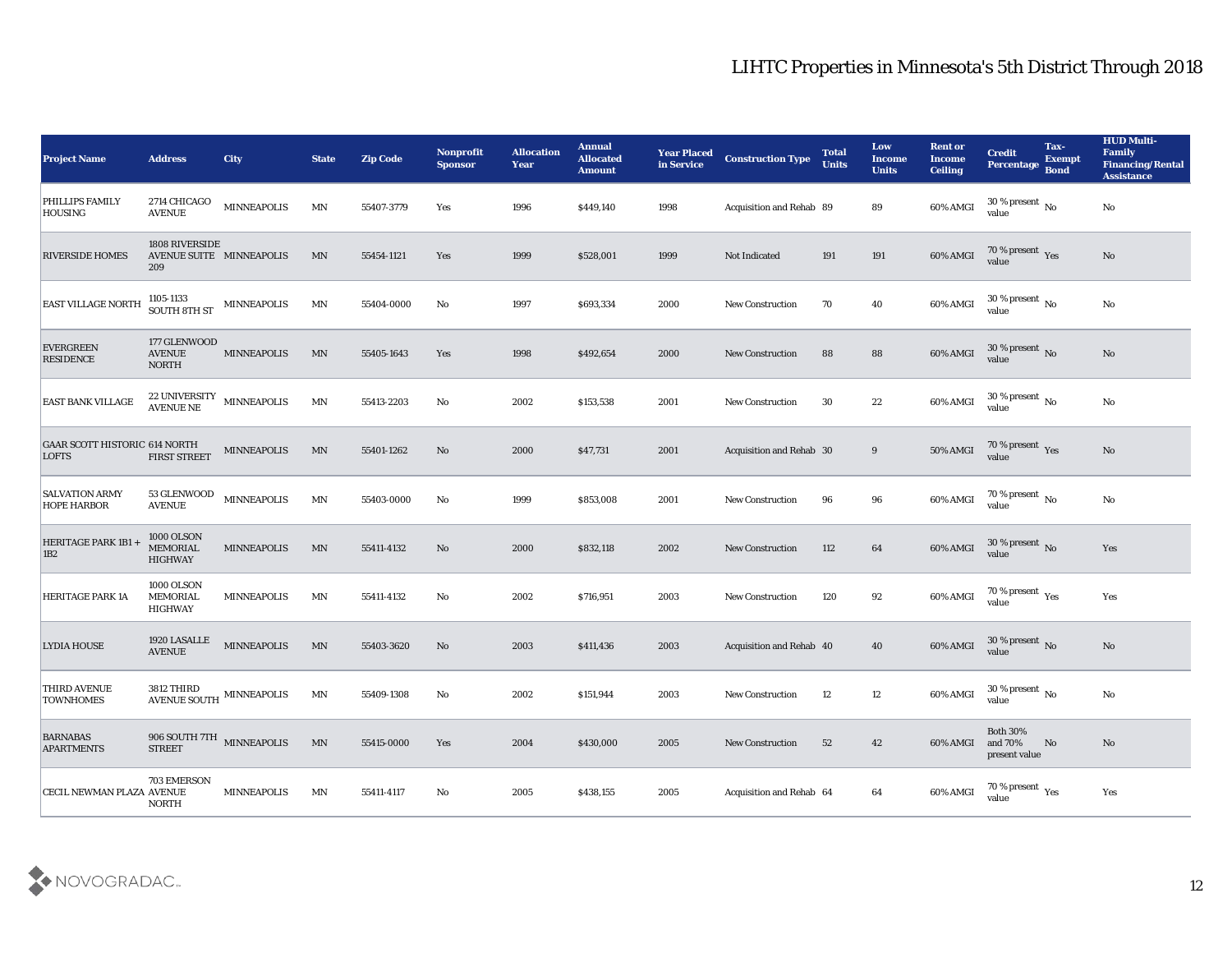| <b>Project Name</b>                                  | <b>Address</b>                                         | City               | <b>State</b>             | <b>Zip Code</b> | Nonprofit<br>Sponsor | <b>Allocation</b><br><b>Year</b> | <b>Annual</b><br><b>Allocated</b><br><b>Amount</b> | <b>Year Placed</b><br>in Service | <b>Construction Type</b> | <b>Total</b><br><b>Units</b> | Low<br><b>Income</b><br><b>Units</b> | <b>Rent or</b><br><b>Income</b><br><b>Ceiling</b> | <b>Credit</b><br>Percentage Bond           | Tax-<br><b>Exempt</b> | <b>HUD Multi-</b><br>Family<br><b>Financing/Rental</b><br><b>Assistance</b> |
|------------------------------------------------------|--------------------------------------------------------|--------------------|--------------------------|-----------------|----------------------|----------------------------------|----------------------------------------------------|----------------------------------|--------------------------|------------------------------|--------------------------------------|---------------------------------------------------|--------------------------------------------|-----------------------|-----------------------------------------------------------------------------|
| PHILLIPS FAMILY<br>HOUSING                           | 2714 CHICAGO<br><b>AVENUE</b>                          | <b>MINNEAPOLIS</b> | $\ensuremath{\text{MN}}$ | 55407-3779      | Yes                  | 1996                             | \$449,140                                          | 1998                             | Acquisition and Rehab 89 |                              | 89                                   | 60% AMGI                                          | $30\,\%$ present $\,$ No $\,$<br>value     |                       | No                                                                          |
| <b>RIVERSIDE HOMES</b>                               | 1808 RIVERSIDE<br>AVENUE SUITE MINNEAPOLIS<br>209      |                    | MN                       | 55454-1121      | Yes                  | 1999                             | \$528,001                                          | 1999                             | Not Indicated            | 191                          | 191                                  | 60% AMGI                                          | $70\,\%$ present $\,\mathrm{Yes}$ value    |                       | No                                                                          |
| <b>EAST VILLAGE NORTH</b>                            | 1105-1133<br><b>SOUTH 8TH ST</b>                       | MINNEAPOLIS        | MN                       | 55404-0000      | No                   | 1997                             | \$693,334                                          | 2000                             | <b>New Construction</b>  | 70                           | 40                                   | 60% AMGI                                          | $30\,\%$ present $\,$ No $\,$<br>value     |                       | No                                                                          |
| <b>EVERGREEN</b><br><b>RESIDENCE</b>                 | 177 GLENWOOD<br><b>AVENUE</b><br><b>NORTH</b>          | <b>MINNEAPOLIS</b> | MN                       | 55405-1643      | Yes                  | 1998                             | \$492,654                                          | 2000                             | <b>New Construction</b>  | 88                           | 88                                   | 60% AMGI                                          | $30\,\%$ present $\,$ No value             |                       | $\mathbf{N}\mathbf{o}$                                                      |
| <b>EAST BANK VILLAGE</b>                             | <b>22 UNIVERSITY</b><br><b>AVENUE NE</b>               | MINNEAPOLIS        | $\ensuremath{\text{MN}}$ | 55413-2203      | No                   | 2002                             | \$153,538                                          | 2001                             | <b>New Construction</b>  | 30                           | 22                                   | 60% AMGI                                          | 30 % present $\,$ No $\,$<br>value         |                       | No                                                                          |
| <b>GAAR SCOTT HISTORIC 614 NORTH</b><br><b>LOFTS</b> | <b>FIRST STREET</b>                                    | <b>MINNEAPOLIS</b> | MN                       | 55401-1262      | No                   | 2000                             | \$47,731                                           | 2001                             | Acquisition and Rehab 30 |                              | 9                                    | 50% AMGI                                          | $70\,\%$ present $\,$ Yes value            |                       | No                                                                          |
| <b>SALVATION ARMY</b><br><b>HOPE HARBOR</b>          | 53 GLENWOOD<br><b>AVENUE</b>                           | MINNEAPOLIS        | $\ensuremath{\text{MN}}$ | 55403-0000      | No                   | 1999                             | \$853,008                                          | 2001                             | <b>New Construction</b>  | 96                           | 96                                   | 60% AMGI                                          | $70\,\%$ present $\,$ No value             |                       | No                                                                          |
| HERITAGE PARK 1B1 +<br> 1B2                          | <b>1000 OLSON</b><br><b>MEMORIAL</b><br><b>HIGHWAY</b> | <b>MINNEAPOLIS</b> | MN                       | 55411-4132      | No                   | 2000                             | \$832,118                                          | 2002                             | <b>New Construction</b>  | 112                          | 64                                   | 60% AMGI                                          | $30\,\%$ present $\,$ No $\,$<br>value     |                       | Yes                                                                         |
| HERITAGE PARK 1A                                     | 1000 OLSON<br><b>MEMORIAL</b><br><b>HIGHWAY</b>        | <b>MINNEAPOLIS</b> | MN                       | 55411-4132      | No                   | 2002                             | \$716,951                                          | 2003                             | <b>New Construction</b>  | 120                          | 92                                   | 60% AMGI                                          | $70\,\%$ present $\,$ Yes value            |                       | Yes                                                                         |
| <b>LYDIA HOUSE</b>                                   | 1920 LASALLE<br><b>AVENUE</b>                          | <b>MINNEAPOLIS</b> | MN                       | 55403-3620      | No                   | 2003                             | \$411,436                                          | 2003                             | Acquisition and Rehab 40 |                              | 40                                   | 60% AMGI                                          | $30\,\%$ present $\,$ No value             |                       | No                                                                          |
| THIRD AVENUE<br><b>TOWNHOMES</b>                     | AVENUE SOUTH MINNEAPOLIS                               |                    | MN                       | 55409-1308      | No                   | 2002                             | \$151,944                                          | 2003                             | <b>New Construction</b>  | 12                           | 12                                   | 60% AMGI                                          | 30 % present $\,$ No $\,$<br>value         |                       | No                                                                          |
| <b>BARNABAS</b><br><b>APARTMENTS</b>                 | 906 SOUTH 7TH MINNEAPOLIS<br><b>STREET</b>             |                    | MN                       | 55415-0000      | Yes                  | 2004                             | \$430,000                                          | 2005                             | <b>New Construction</b>  | 52                           | 42                                   | 60% AMGI                                          | Both $30\%$<br>and $70\%$<br>present value | No                    | $\mathbf{N}\mathbf{o}$                                                      |
| CECIL NEWMAN PLAZA AVENUE                            | 703 EMERSON<br><b>NORTH</b>                            | <b>MINNEAPOLIS</b> | MN                       | 55411-4117      | $\mathbf {No}$       | 2005                             | \$438,155                                          | 2005                             | Acquisition and Rehab 64 |                              | 64                                   | 60% AMGI                                          | 70 % present $_{\rm Yes}$<br>value         |                       | Yes                                                                         |

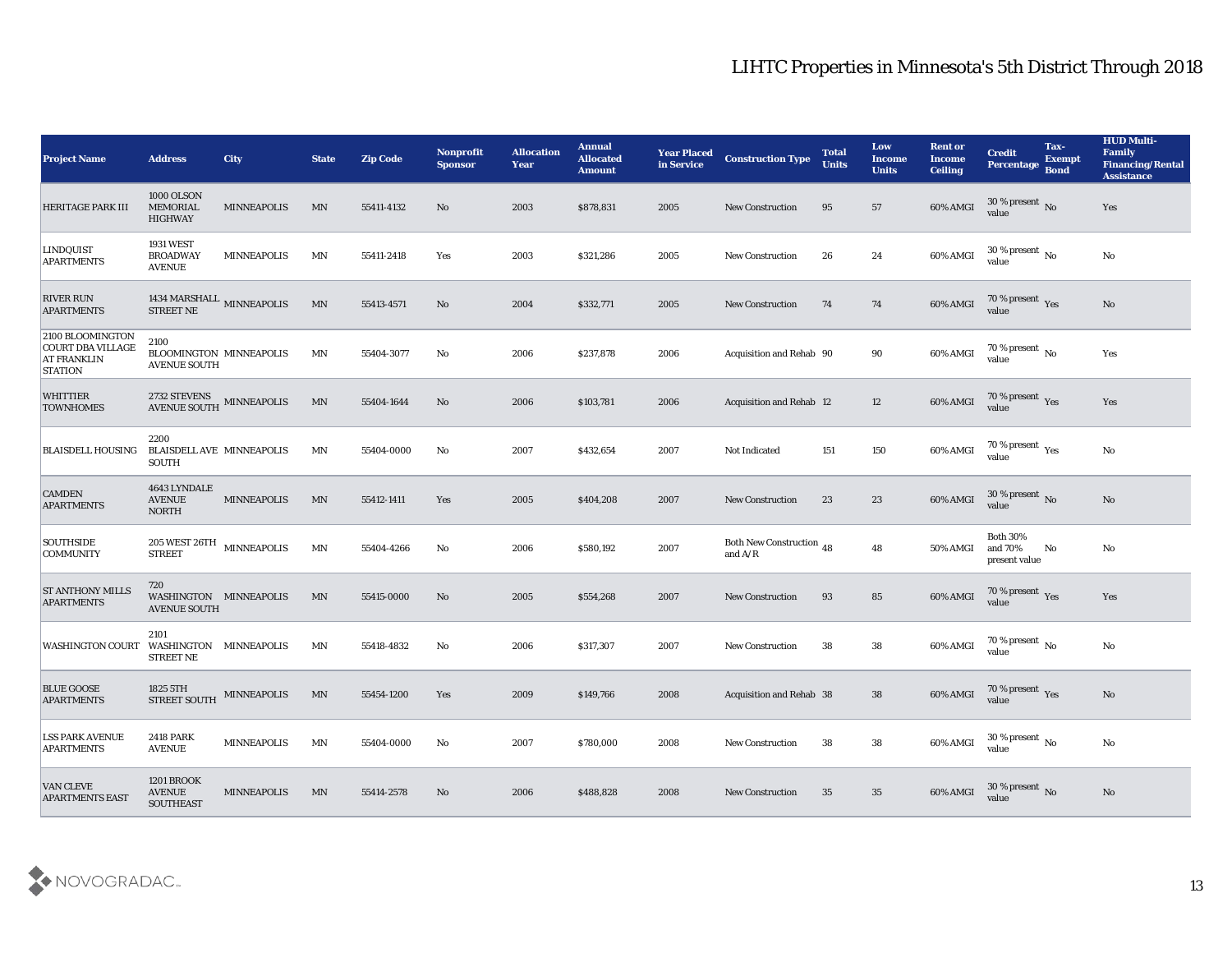| <b>Project Name</b>                                                                  | <b>Address</b>                                                       | <b>City</b>        | <b>State</b>             | <b>Zip Code</b> | <b>Nonprofit</b><br><b>Sponsor</b> | <b>Allocation</b><br><b>Year</b> | <b>Annual</b><br><b>Allocated</b><br><b>Amount</b> | <b>Year Placed</b><br>in Service | <b>Construction Type</b>              | <b>Total</b><br><b>Units</b> | Low<br><b>Income</b><br><b>Units</b> | <b>Rent or</b><br><b>Income</b><br><b>Ceiling</b> | <b>Credit</b><br>Percentage                 | Tax-<br><b>Exempt</b><br><b>Bond</b> | <b>HUD Multi-</b><br><b>Family</b><br><b>Financing/Rental</b><br><b>Assistance</b> |
|--------------------------------------------------------------------------------------|----------------------------------------------------------------------|--------------------|--------------------------|-----------------|------------------------------------|----------------------------------|----------------------------------------------------|----------------------------------|---------------------------------------|------------------------------|--------------------------------------|---------------------------------------------------|---------------------------------------------|--------------------------------------|------------------------------------------------------------------------------------|
| <b>HERITAGE PARK III</b>                                                             | <b>1000 OLSON</b><br><b>MEMORIAL</b><br><b>HIGHWAY</b>               | <b>MINNEAPOLIS</b> | MN                       | 55411-4132      | No                                 | 2003                             | \$878,831                                          | 2005                             | <b>New Construction</b>               | 95                           | 57                                   | 60% AMGI                                          | 30 % present No<br>value                    |                                      | Yes                                                                                |
| LINDQUIST<br><b>APARTMENTS</b>                                                       | <b>1931 WEST</b><br><b>BROADWAY</b><br><b>AVENUE</b>                 | <b>MINNEAPOLIS</b> | MN                       | 55411-2418      | Yes                                | 2003                             | \$321,286                                          | 2005                             | <b>New Construction</b>               | 26                           | 24                                   | 60% AMGI                                          | $30\,\%$ present $\,$ No value              |                                      | No                                                                                 |
| <b>RIVER RUN</b><br><b>APARTMENTS</b>                                                | 1434 MARSHALL MINNEAPOLIS<br><b>STREET NE</b>                        |                    | MN                       | 55413-4571      | No                                 | 2004                             | \$332,771                                          | 2005                             | <b>New Construction</b>               | 74                           | 74                                   | 60% AMGI                                          | 70 % present Yes<br>value                   |                                      | No                                                                                 |
| 2100 BLOOMINGTON<br><b>COURT DBA VILLAGE</b><br><b>AT FRANKLIN</b><br><b>STATION</b> | 2100<br>BLOOMINGTON MINNEAPOLIS<br><b>AVENUE SOUTH</b>               |                    | $\ensuremath{\text{MN}}$ | 55404-3077      | No                                 | 2006                             | \$237,878                                          | 2006                             | Acquisition and Rehab 90              |                              | 90                                   | 60% AMGI                                          | 70 % present $\,$ No $\,$<br>value          |                                      | Yes                                                                                |
| <b>WHITTIER</b><br><b>TOWNHOMES</b>                                                  | $\,$ 2732 STEVENS $\,$ MINNEAPOLIS AVENUE SOUTH                      |                    | MN                       | 55404-1644      | No                                 | 2006                             | \$103,781                                          | 2006                             | <b>Acquisition and Rehab 12</b>       |                              | 12                                   | 60% AMGI                                          | $70\,\%$ present $\,$ Yes value             |                                      | Yes                                                                                |
| <b>BLAISDELL HOUSING</b>                                                             | 2200<br><b>BLAISDELL AVE MINNEAPOLIS</b><br><b>SOUTH</b>             |                    | MN                       | 55404-0000      | No                                 | 2007                             | \$432,654                                          | 2007                             | Not Indicated                         | 151                          | 150                                  | 60% AMGI                                          | 70 % present $_{\rm Yes}$<br>value          |                                      | $\mathbf{N}\mathbf{o}$                                                             |
| <b>CAMDEN</b><br><b>APARTMENTS</b>                                                   | 4643 LYNDALE<br><b>AVENUE</b><br><b>NORTH</b>                        | <b>MINNEAPOLIS</b> | MN                       | 55412-1411      | Yes                                | 2005                             | \$404,208                                          | 2007                             | <b>New Construction</b>               | 23                           | 23                                   | 60% AMGI                                          | $30\,\%$ present $\,$ No value              |                                      | No                                                                                 |
| <b>SOUTHSIDE</b><br><b>COMMUNITY</b>                                                 | $205\, \rm{WEST}$ $26 \rm{TH}$ $$\rm{MINNEAPOLIS}$$<br><b>STREET</b> |                    | $\ensuremath{\text{MN}}$ | 55404-4266      | No                                 | 2006                             | \$580,192                                          | 2007                             | Both New Construction 48<br>and $A/R$ |                              | 48                                   | 50% AMGI                                          | <b>Both 30%</b><br>and 70%<br>present value | No                                   | No                                                                                 |
| <b>ST ANTHONY MILLS</b><br><b>APARTMENTS</b>                                         | 720<br>WASHINGTON MINNEAPOLIS<br><b>AVENUE SOUTH</b>                 |                    | MN                       | 55415-0000      | No                                 | 2005                             | \$554,268                                          | 2007                             | <b>New Construction</b>               | 93                           | 85                                   | 60% AMGI                                          | $70\,\%$ present $\,$ Yes value             |                                      | Yes                                                                                |
| WASHINGTON COURT                                                                     | 2101<br>WASHINGTON MINNEAPOLIS<br><b>STREET NE</b>                   |                    | MN                       | 55418-4832      | No                                 | 2006                             | \$317,307                                          | 2007                             | <b>New Construction</b>               | 38                           | 38                                   | 60% AMGI                                          | $70\,\%$ present $\,$ No value              |                                      | $\mathbf{N}\mathbf{o}$                                                             |
| <b>BLUE GOOSE</b><br><b>APARTMENTS</b>                                               | 1825 5TH<br><b>STREET SOUTH</b>                                      | <b>MINNEAPOLIS</b> | MN                       | 55454-1200      | Yes                                | 2009                             | \$149,766                                          | 2008                             | Acquisition and Rehab 38              |                              | 38                                   | 60% AMGI                                          | 70 % present Yes<br>value                   |                                      | No                                                                                 |
| <b>LSS PARK AVENUE</b><br><b>APARTMENTS</b>                                          | <b>2418 PARK</b><br><b>AVENUE</b>                                    | <b>MINNEAPOLIS</b> | MN                       | 55404-0000      | No                                 | 2007                             | \$780,000                                          | 2008                             | <b>New Construction</b>               | 38                           | 38                                   | 60% AMGI                                          | 30 % present $\,$ No $\,$<br>value          |                                      | No                                                                                 |
| <b>VAN CLEVE</b><br><b>APARTMENTS EAST</b>                                           | <b>1201 BROOK</b><br><b>AVENUE</b><br><b>SOUTHEAST</b>               | <b>MINNEAPOLIS</b> | MN                       | 55414-2578      | No                                 | 2006                             | \$488,828                                          | 2008                             | <b>New Construction</b>               | 35                           | 35                                   | 60% AMGI                                          | $30\,\%$ present $\,$ No value              |                                      | $\mathbf{N}\mathbf{o}$                                                             |

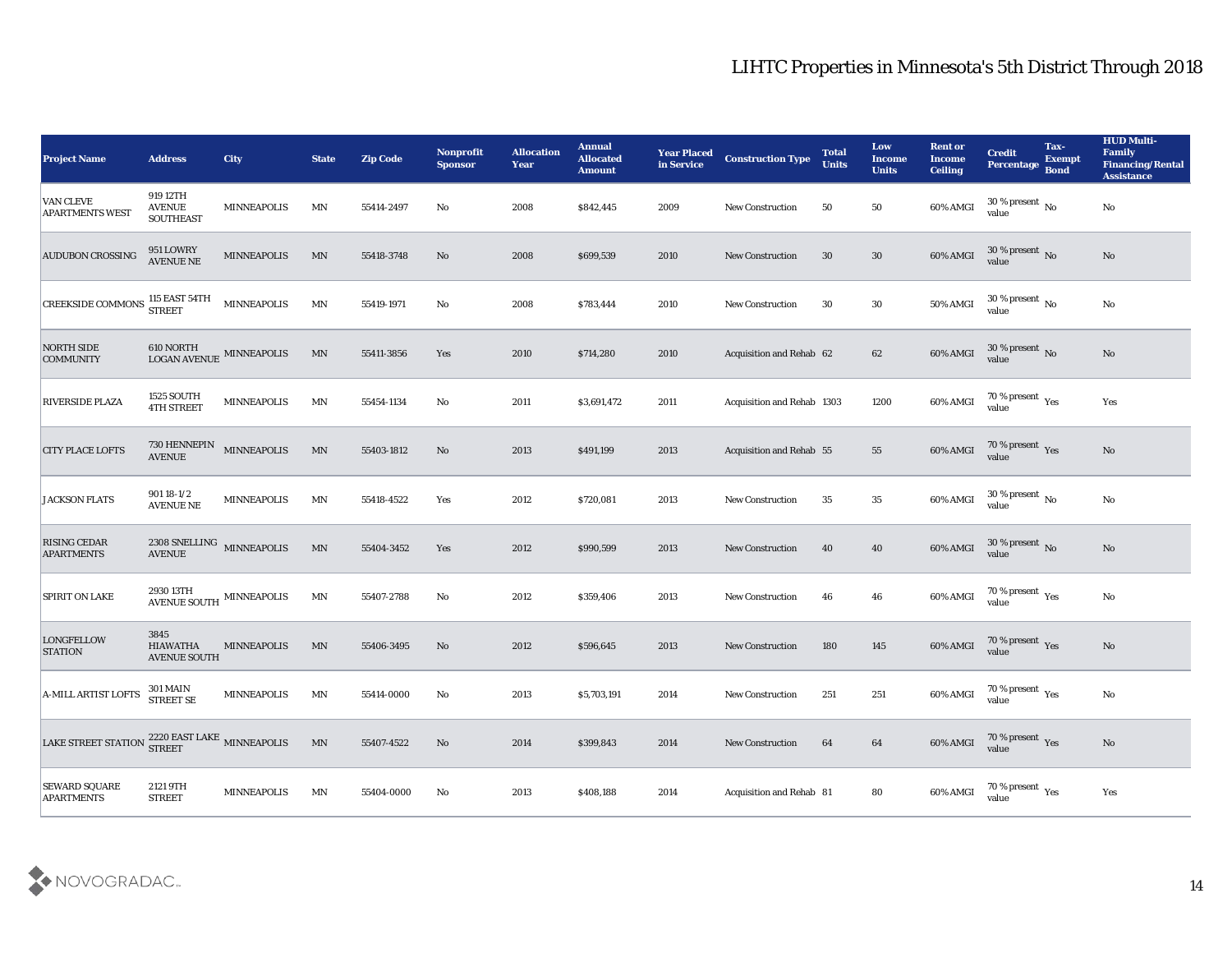| <b>Project Name</b>                       | <b>Address</b>                                       | City               | <b>State</b>             | <b>Zip Code</b> | Nonprofit<br><b>Sponsor</b> | <b>Allocation</b><br><b>Year</b> | <b>Annual</b><br><b>Allocated</b><br><b>Amount</b> | <b>Year Placed</b><br>in Service | <b>Construction Type</b>        | <b>Total</b><br><b>Units</b> | Low<br><b>Income</b><br><b>Units</b> | <b>Rent or</b><br><b>Income</b><br><b>Ceiling</b> | <b>Credit</b><br>Percentage Bond                 | Tax-<br><b>Exempt</b> | <b>HUD Multi-</b><br>Family<br><b>Financing/Rental</b><br><b>Assistance</b> |
|-------------------------------------------|------------------------------------------------------|--------------------|--------------------------|-----------------|-----------------------------|----------------------------------|----------------------------------------------------|----------------------------------|---------------------------------|------------------------------|--------------------------------------|---------------------------------------------------|--------------------------------------------------|-----------------------|-----------------------------------------------------------------------------|
| VAN CLEVE<br>APARTMENTS WEST              | 919 12TH<br><b>AVENUE</b><br><b>SOUTHEAST</b>        | <b>MINNEAPOLIS</b> | MN                       | 55414-2497      | No                          | 2008                             | \$842,445                                          | 2009                             | <b>New Construction</b>         | 50                           | 50                                   | 60% AMGI                                          | 30 % present $\,$ No $\,$<br>value               |                       | $\mathbf{N}\mathbf{o}$                                                      |
| <b>AUDUBON CROSSING</b>                   | 951 LOWRY<br><b>AVENUE NE</b>                        | <b>MINNEAPOLIS</b> | MN                       | 55418-3748      | No                          | 2008                             | \$699,539                                          | 2010                             | <b>New Construction</b>         | 30                           | 30                                   | 60% AMGI                                          | $30\,\%$ present $\,$ No value                   |                       | No                                                                          |
| <b>CREEKSIDE COMMONS</b>                  | 115 EAST 54TH<br><b>STREET</b>                       | MINNEAPOLIS        | MN                       | 55419-1971      | No                          | 2008                             | \$783,444                                          | 2010                             | <b>New Construction</b>         | 30                           | 30                                   | <b>50% AMGI</b>                                   | 30 % present $\,$ No $\,$<br>value               |                       | No                                                                          |
| <b>NORTH SIDE</b><br><b>COMMUNITY</b>     | $610$ NORTH $_{\rm LOGAN\; AVENUE}$ MINNEAPOLIS      |                    | MN                       | 55411-3856      | Yes                         | 2010                             | \$714,280                                          | 2010                             | Acquisition and Rehab 62        |                              | 62                                   | 60% AMGI                                          | $30\,\%$ present $\,$ No value                   |                       | $\mathbf{N}\mathbf{o}$                                                      |
| RIVERSIDE PLAZA                           | <b>1525 SOUTH</b><br><b>4TH STREET</b>               | <b>MINNEAPOLIS</b> | MN                       | 55454-1134      | No                          | 2011                             | \$3,691,472                                        | 2011                             | Acquisition and Rehab 1303      |                              | 1200                                 | 60% AMGI                                          | 70 % present $\gamma_{\rm es}$<br>value          |                       | Yes                                                                         |
| <b>CITY PLACE LOFTS</b>                   | $730\text{ HENNEPIN} \quad$ MINNEAPOLIS AVENUE       |                    | MN                       | 55403-1812      | No                          | 2013                             | \$491,199                                          | 2013                             | <b>Acquisition and Rehab 55</b> |                              | 55                                   | 60% AMGI                                          | $70\,\%$ present $\,$ Yes value                  |                       | No                                                                          |
| <b>JACKSON FLATS</b>                      | $90118 - 1/2$<br><b>AVENUE NE</b>                    | <b>MINNEAPOLIS</b> | MN                       | 55418-4522      | Yes                         | 2012                             | \$720,081                                          | 2013                             | <b>New Construction</b>         | 35                           | 35                                   | 60% AMGI                                          | $30\,\%$ present $\,$ No value                   |                       | No                                                                          |
| <b>RISING CEDAR</b><br><b>APARTMENTS</b>  | $2308$ SNELLING $\quad$ MINNEAPOLIS<br><b>AVENUE</b> |                    | MN                       | 55404-3452      | Yes                         | 2012                             | \$990,599                                          | 2013                             | <b>New Construction</b>         | 40                           | 40                                   | 60% AMGI                                          | 30 % present No<br>value                         |                       | No                                                                          |
| <b>SPIRIT ON LAKE</b>                     | $2930\,13 \mathrm{TH}$ MINNEAPOLIS AVENUE SOUTH      |                    | MN                       | 55407-2788      | No                          | 2012                             | \$359,406                                          | 2013                             | <b>New Construction</b>         | 46                           | 46                                   | 60% AMGI                                          | 70 % present $\rm\,Yes$<br>value                 |                       | No                                                                          |
| <b>LONGFELLOW</b><br><b>STATION</b>       | 3845<br><b>HIAWATHA</b><br><b>AVENUE SOUTH</b>       | <b>MINNEAPOLIS</b> | MN                       | 55406-3495      | No                          | 2012                             | \$596,645                                          | 2013                             | <b>New Construction</b>         | 180                          | 145                                  | 60% AMGI                                          | $70\,\%$ present $\;\;\mathrm{Yes}$ value        |                       | $\mathbf{N}\mathbf{o}$                                                      |
| <b>A-MILL ARTIST LOFTS</b>                | <b>301 MAIN</b><br><b>STREET SE</b>                  | <b>MINNEAPOLIS</b> | MN                       | 55414-0000      | No                          | 2013                             | \$5,703,191                                        | 2014                             | New Construction                | 251                          | 251                                  | 60% AMGI                                          | 70 % present $_{\rm Yes}$<br>value               |                       | No                                                                          |
| <b>LAKE STREET STATION</b>                | $2220\ {\rm EAST\ LAKE}$ MINNEAPOLIS STREET          |                    | $\ensuremath{\text{MN}}$ | 55407-4522      | $\rm\thinspace No$          | 2014                             | \$399,843                                          | 2014                             | New Construction                | 64                           | 64                                   | 60% AMGI                                          | $70\,\%$ present $\,$ Yes value                  |                       | $\mathbf{N}\mathbf{o}$                                                      |
| <b>SEWARD SQUARE</b><br><b>APARTMENTS</b> | 2121 9TH<br><b>STREET</b>                            | <b>MINNEAPOLIS</b> | MN                       | 55404-0000      | No                          | 2013                             | \$408,188                                          | 2014                             | Acquisition and Rehab 81        |                              | ${\bf 80}$                           | 60% AMGI                                          | 70 % present $\rm\thinspace\gamma_{es}$<br>value |                       | Yes                                                                         |

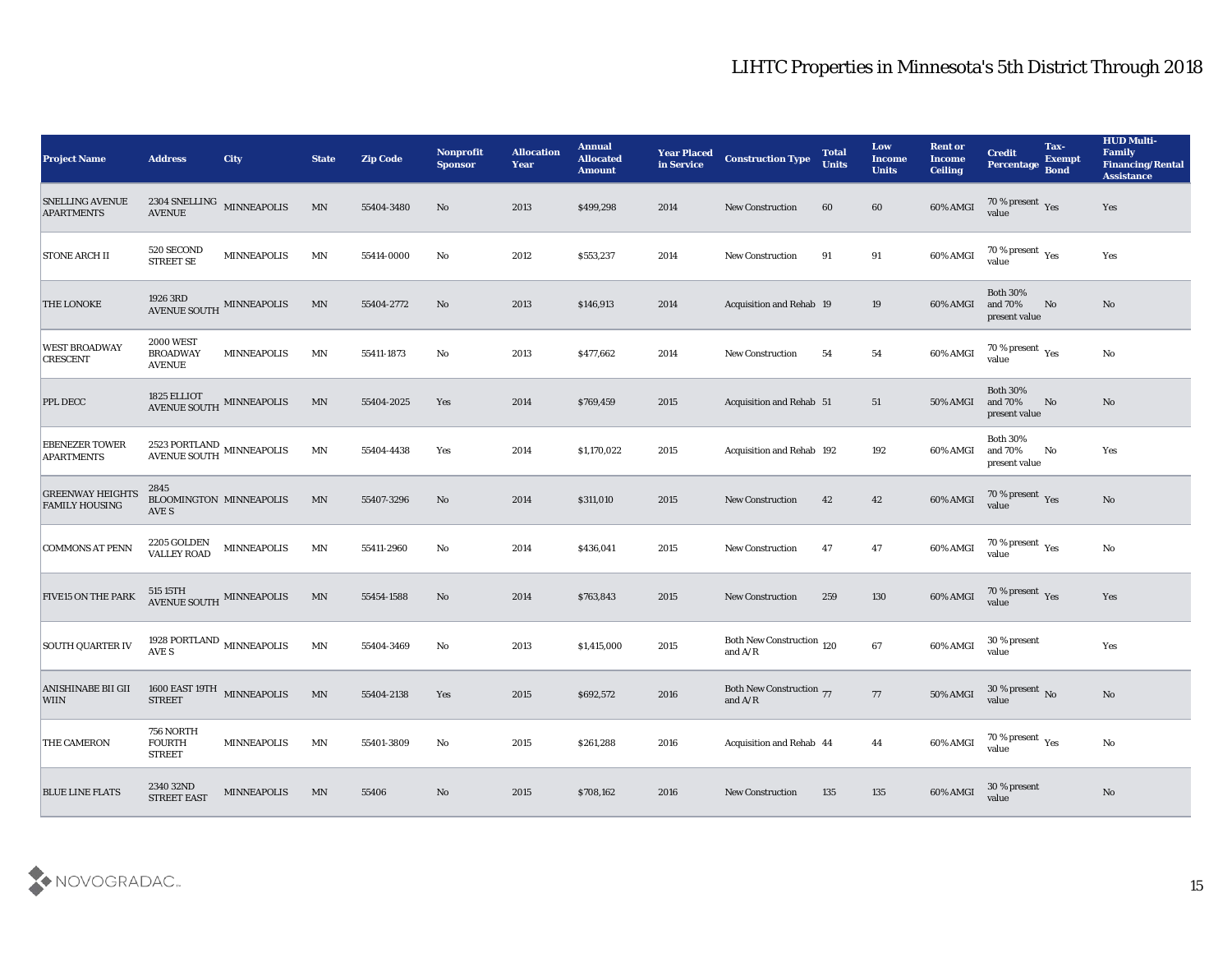| <b>Project Name</b>                              | <b>Address</b>                                       | <b>City</b>                                    | <b>State</b>             | <b>Zip Code</b> | <b>Nonprofit</b><br><b>Sponsor</b> | <b>Allocation</b><br><b>Year</b> | <b>Annual</b><br><b>Allocated</b><br><b>Amount</b> | <b>Year Placed</b><br>in Service | <b>Construction Type</b>                     | <b>Total</b><br><b>Units</b> | Low<br><b>Income</b><br><b>Units</b> | <b>Rent or</b><br><b>Income</b><br><b>Ceiling</b> | <b>Credit</b><br>Percentage Bond            | Tax-<br><b>Exempt</b> | <b>HUD Multi-</b><br>Family<br><b>Financing/Rental</b><br><b>Assistance</b> |
|--------------------------------------------------|------------------------------------------------------|------------------------------------------------|--------------------------|-----------------|------------------------------------|----------------------------------|----------------------------------------------------|----------------------------------|----------------------------------------------|------------------------------|--------------------------------------|---------------------------------------------------|---------------------------------------------|-----------------------|-----------------------------------------------------------------------------|
| <b>SNELLING AVENUE</b><br><b>APARTMENTS</b>      | <b>AVENUE</b>                                        | 2304 SNELLING MINNEAPOLIS                      | MN                       | 55404-3480      | No                                 | 2013                             | \$499,298                                          | 2014                             | <b>New Construction</b>                      | 60                           | 60                                   | 60% AMGI                                          | 70 % present Yes<br>value                   |                       | Yes                                                                         |
| <b>STONE ARCH II</b>                             | 520 SECOND<br><b>STREET SE</b>                       | <b>MINNEAPOLIS</b>                             | MN                       | 55414-0000      | No                                 | 2012                             | \$553,237                                          | 2014                             | <b>New Construction</b>                      | 91                           | 91                                   | 60% AMGI                                          | 70 % present $\gamma_{\rm e s}$<br>value    |                       | Yes                                                                         |
| <b>THE LONOKE</b>                                | 1926 3RD<br><b>AVENUE SOUTH</b>                      | <b>MINNEAPOLIS</b>                             | MN                       | 55404-2772      | No                                 | 2013                             | \$146,913                                          | 2014                             | <b>Acquisition and Rehab 19</b>              |                              | 19                                   | 60% AMGI                                          | <b>Both 30%</b><br>and 70%<br>present value | No                    | No                                                                          |
| <b>WEST BROADWAY</b><br><b>CRESCENT</b>          | <b>2000 WEST</b><br><b>BROADWAY</b><br><b>AVENUE</b> | <b>MINNEAPOLIS</b>                             | MN                       | 55411-1873      | No                                 | 2013                             | \$477,662                                          | 2014                             | <b>New Construction</b>                      | 54                           | 54                                   | 60% AMGI                                          | 70 % present $\gamma_{\rm e s}$<br>value    |                       | No                                                                          |
| <b>PPL DECC</b>                                  |                                                      | $1825$ ELLIOT $$\tt MINNEAPOLIS$$ AVENUE SOUTH | MN                       | 55404-2025      | Yes                                | 2014                             | \$769,459                                          | 2015                             | <b>Acquisition and Rehab 51</b>              |                              | 51                                   | 50% AMGI                                          | <b>Both 30%</b><br>and 70%<br>present value | No                    | No                                                                          |
| <b>EBENEZER TOWER</b><br><b>APARTMENTS</b>       | $2523$ PORTLAND $\,$ MINNEAPOLIS AVENUE SOUTH        |                                                | MN                       | 55404-4438      | Yes                                | 2014                             | \$1,170,022                                        | 2015                             | <b>Acquisition and Rehab 192</b>             |                              | 192                                  | 60% AMGI                                          | <b>Both 30%</b><br>and 70%<br>present value | No                    | Yes                                                                         |
| <b>GREENWAY HEIGHTS</b><br><b>FAMILY HOUSING</b> | 2845<br>BLOOMINGTON MINNEAPOLIS<br>AVE S             |                                                | MN                       | 55407-3296      | No                                 | 2014                             | \$311,010                                          | 2015                             | <b>New Construction</b>                      | 42                           | 42                                   | 60% AMGI                                          | $\frac{70\%}{9}$ present Yes                |                       | $\mathbf{N}\mathbf{o}$                                                      |
| <b>COMMONS AT PENN</b>                           | 2205 GOLDEN<br><b>VALLEY ROAD</b>                    | <b>MINNEAPOLIS</b>                             | MN                       | 55411-2960      | No                                 | 2014                             | \$436,041                                          | 2015                             | <b>New Construction</b>                      | 47                           | 47                                   | 60% AMGI                                          | 70 % present $_{\rm Yes}$<br>value          |                       | No                                                                          |
| <b>FIVE15 ON THE PARK</b>                        | 515 15TH                                             | AVENUE SOUTH MINNEAPOLIS                       | MN                       | 55454-1588      | No                                 | 2014                             | \$763,843                                          | 2015                             | <b>New Construction</b>                      | 259                          | 130                                  | 60% AMGI                                          | $70\,\%$ present $\,$ Yes value             |                       | Yes                                                                         |
| <b>SOUTH QUARTER IV</b>                          | AVE S                                                | 1928 PORTLAND $\,$ MINNEAPOLIS                 | $\ensuremath{\text{MN}}$ | 55404-3469      | No                                 | 2013                             | \$1,415,000                                        | 2015                             | Both New Construction 120<br>and $A/R$       |                              | 67                                   | 60% AMGI                                          | 30 % present<br>value                       |                       | Yes                                                                         |
| <b>ANISHINABE BII GII</b><br><b>WIIN</b>         | <b>STREET</b>                                        | 1600 EAST 19TH MINNEAPOLIS                     | MN                       | 55404-2138      | Yes                                | 2015                             | \$692,572                                          | 2016                             | <b>Both New Construction 77</b><br>and $A/R$ |                              | 77                                   | 50% AMGI                                          | 30 % present No<br>value                    |                       | No                                                                          |
| <b>THE CAMERON</b>                               | 756 NORTH<br><b>FOURTH</b><br><b>STREET</b>          | <b>MINNEAPOLIS</b>                             | $\mathbf{M} \mathbf{N}$  | 55401-3809      | $\mathbf {No}$                     | 2015                             | \$261,288                                          | 2016                             | Acquisition and Rehab 44                     |                              | 44                                   | 60% AMGI                                          | $70\,\%$ present $\,$ Yes value             |                       | $\mathbf {No}$                                                              |
| <b>BLUE LINE FLATS</b>                           | 2340 32ND<br><b>STREET EAST</b>                      | <b>MINNEAPOLIS</b>                             | MN                       | 55406           | $\rm\thinspace No$                 | 2015                             | \$708,162                                          | 2016                             | <b>New Construction</b>                      | 135                          | 135                                  | 60% AMGI                                          | 30 % present<br>value                       |                       | $\rm \bf No$                                                                |